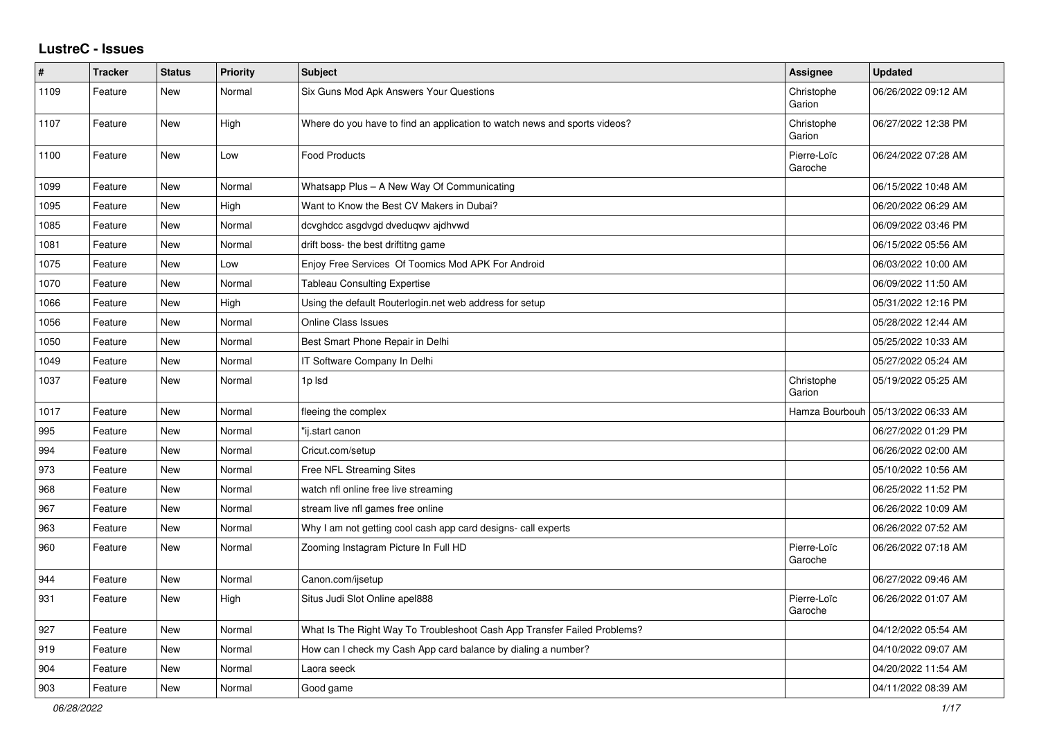## **LustreC - Issues**

| #    | <b>Tracker</b> | <b>Status</b> | <b>Priority</b> | <b>Subject</b>                                                            | Assignee               | <b>Updated</b>      |
|------|----------------|---------------|-----------------|---------------------------------------------------------------------------|------------------------|---------------------|
| 1109 | Feature        | New           | Normal          | Six Guns Mod Apk Answers Your Questions                                   | Christophe<br>Garion   | 06/26/2022 09:12 AM |
| 1107 | Feature        | <b>New</b>    | High            | Where do you have to find an application to watch news and sports videos? | Christophe<br>Garion   | 06/27/2022 12:38 PM |
| 1100 | Feature        | New           | Low             | <b>Food Products</b>                                                      | Pierre-Loïc<br>Garoche | 06/24/2022 07:28 AM |
| 1099 | Feature        | <b>New</b>    | Normal          | Whatsapp Plus - A New Way Of Communicating                                |                        | 06/15/2022 10:48 AM |
| 1095 | Feature        | New           | High            | Want to Know the Best CV Makers in Dubai?                                 |                        | 06/20/2022 06:29 AM |
| 1085 | Feature        | New           | Normal          | dcvghdcc asgdvgd dveduqwv ajdhvwd                                         |                        | 06/09/2022 03:46 PM |
| 1081 | Feature        | New           | Normal          | drift boss- the best driftitng game                                       |                        | 06/15/2022 05:56 AM |
| 1075 | Feature        | <b>New</b>    | Low             | Enjoy Free Services Of Toomics Mod APK For Android                        |                        | 06/03/2022 10:00 AM |
| 1070 | Feature        | <b>New</b>    | Normal          | <b>Tableau Consulting Expertise</b>                                       |                        | 06/09/2022 11:50 AM |
| 1066 | Feature        | New           | High            | Using the default Routerlogin.net web address for setup                   |                        | 05/31/2022 12:16 PM |
| 1056 | Feature        | New           | Normal          | <b>Online Class Issues</b>                                                |                        | 05/28/2022 12:44 AM |
| 1050 | Feature        | New           | Normal          | Best Smart Phone Repair in Delhi                                          |                        | 05/25/2022 10:33 AM |
| 1049 | Feature        | <b>New</b>    | Normal          | IT Software Company In Delhi                                              |                        | 05/27/2022 05:24 AM |
| 1037 | Feature        | New           | Normal          | 1p lsd                                                                    | Christophe<br>Garion   | 05/19/2022 05:25 AM |
| 1017 | Feature        | <b>New</b>    | Normal          | fleeing the complex                                                       | Hamza Bourbouh         | 05/13/2022 06:33 AM |
| 995  | Feature        | <b>New</b>    | Normal          | "ij.start canon                                                           |                        | 06/27/2022 01:29 PM |
| 994  | Feature        | New           | Normal          | Cricut.com/setup                                                          |                        | 06/26/2022 02:00 AM |
| 973  | Feature        | New           | Normal          | Free NFL Streaming Sites                                                  |                        | 05/10/2022 10:56 AM |
| 968  | Feature        | New           | Normal          | watch nfl online free live streaming                                      |                        | 06/25/2022 11:52 PM |
| 967  | Feature        | <b>New</b>    | Normal          | stream live nfl games free online                                         |                        | 06/26/2022 10:09 AM |
| 963  | Feature        | New           | Normal          | Why I am not getting cool cash app card designs- call experts             |                        | 06/26/2022 07:52 AM |
| 960  | Feature        | New           | Normal          | Zooming Instagram Picture In Full HD                                      | Pierre-Loïc<br>Garoche | 06/26/2022 07:18 AM |
| 944  | Feature        | <b>New</b>    | Normal          | Canon.com/ijsetup                                                         |                        | 06/27/2022 09:46 AM |
| 931  | Feature        | New           | High            | Situs Judi Slot Online apel888                                            | Pierre-Loïc<br>Garoche | 06/26/2022 01:07 AM |
| 927  | Feature        | <b>New</b>    | Normal          | What Is The Right Way To Troubleshoot Cash App Transfer Failed Problems?  |                        | 04/12/2022 05:54 AM |
| 919  | Feature        | <b>New</b>    | Normal          | How can I check my Cash App card balance by dialing a number?             |                        | 04/10/2022 09:07 AM |
| 904  | Feature        | New           | Normal          | Laora seeck                                                               |                        | 04/20/2022 11:54 AM |
| 903  | Feature        | New           | Normal          | Good game                                                                 |                        | 04/11/2022 08:39 AM |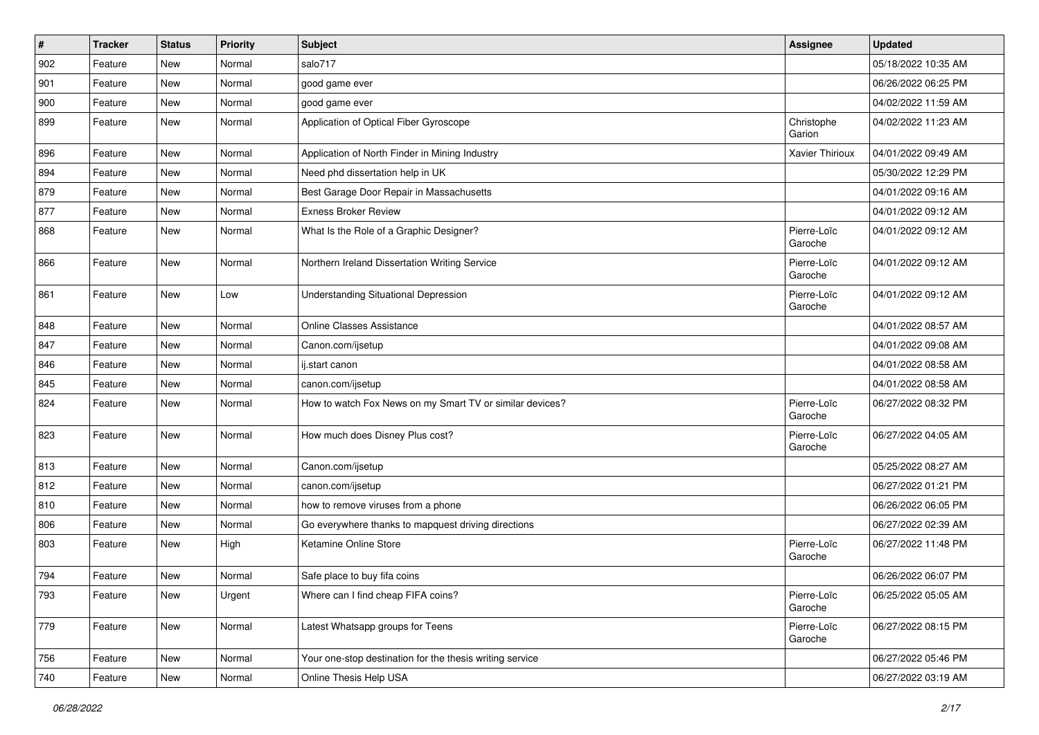| $\vert$ # | Tracker | <b>Status</b> | <b>Priority</b> | Subject                                                  | Assignee               | <b>Updated</b>      |
|-----------|---------|---------------|-----------------|----------------------------------------------------------|------------------------|---------------------|
| 902       | Feature | <b>New</b>    | Normal          | salo717                                                  |                        | 05/18/2022 10:35 AM |
| 901       | Feature | <b>New</b>    | Normal          | good game ever                                           |                        | 06/26/2022 06:25 PM |
| 900       | Feature | New           | Normal          | good game ever                                           |                        | 04/02/2022 11:59 AM |
| 899       | Feature | New           | Normal          | Application of Optical Fiber Gyroscope                   | Christophe<br>Garion   | 04/02/2022 11:23 AM |
| 896       | Feature | <b>New</b>    | Normal          | Application of North Finder in Mining Industry           | Xavier Thirioux        | 04/01/2022 09:49 AM |
| 894       | Feature | <b>New</b>    | Normal          | Need phd dissertation help in UK                         |                        | 05/30/2022 12:29 PM |
| 879       | Feature | New           | Normal          | Best Garage Door Repair in Massachusetts                 |                        | 04/01/2022 09:16 AM |
| 877       | Feature | <b>New</b>    | Normal          | <b>Exness Broker Review</b>                              |                        | 04/01/2022 09:12 AM |
| 868       | Feature | <b>New</b>    | Normal          | What Is the Role of a Graphic Designer?                  | Pierre-Loïc<br>Garoche | 04/01/2022 09:12 AM |
| 866       | Feature | New           | Normal          | Northern Ireland Dissertation Writing Service            | Pierre-Loïc<br>Garoche | 04/01/2022 09:12 AM |
| 861       | Feature | <b>New</b>    | Low             | <b>Understanding Situational Depression</b>              | Pierre-Loïc<br>Garoche | 04/01/2022 09:12 AM |
| 848       | Feature | New           | Normal          | <b>Online Classes Assistance</b>                         |                        | 04/01/2022 08:57 AM |
| 847       | Feature | New           | Normal          | Canon.com/ijsetup                                        |                        | 04/01/2022 09:08 AM |
| 846       | Feature | <b>New</b>    | Normal          | ij.start canon                                           |                        | 04/01/2022 08:58 AM |
| 845       | Feature | New           | Normal          | canon.com/ijsetup                                        |                        | 04/01/2022 08:58 AM |
| 824       | Feature | New           | Normal          | How to watch Fox News on my Smart TV or similar devices? | Pierre-Loïc<br>Garoche | 06/27/2022 08:32 PM |
| 823       | Feature | <b>New</b>    | Normal          | How much does Disney Plus cost?                          | Pierre-Loïc<br>Garoche | 06/27/2022 04:05 AM |
| 813       | Feature | New           | Normal          | Canon.com/ijsetup                                        |                        | 05/25/2022 08:27 AM |
| 812       | Feature | New           | Normal          | canon.com/ijsetup                                        |                        | 06/27/2022 01:21 PM |
| 810       | Feature | <b>New</b>    | Normal          | how to remove viruses from a phone                       |                        | 06/26/2022 06:05 PM |
| 806       | Feature | New           | Normal          | Go everywhere thanks to mapquest driving directions      |                        | 06/27/2022 02:39 AM |
| 803       | Feature | New           | High            | Ketamine Online Store                                    | Pierre-Loïc<br>Garoche | 06/27/2022 11:48 PM |
| 794       | Feature | <b>New</b>    | Normal          | Safe place to buy fifa coins                             |                        | 06/26/2022 06:07 PM |
| 793       | Feature | New           | Urgent          | Where can I find cheap FIFA coins?                       | Pierre-Loïc<br>Garoche | 06/25/2022 05:05 AM |
| 779       | Feature | New           | Normal          | Latest Whatsapp groups for Teens                         | Pierre-Loïc<br>Garoche | 06/27/2022 08:15 PM |
| 756       | Feature | New           | Normal          | Your one-stop destination for the thesis writing service |                        | 06/27/2022 05:46 PM |
| 740       | Feature | New           | Normal          | Online Thesis Help USA                                   |                        | 06/27/2022 03:19 AM |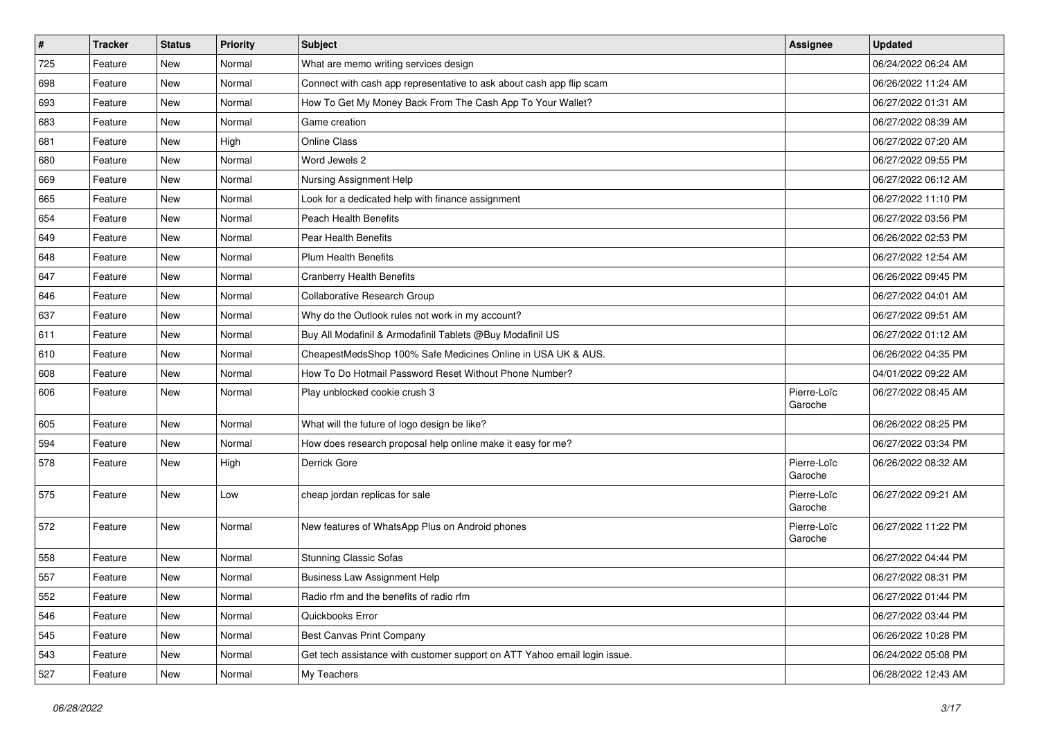| $\vert$ # | <b>Tracker</b> | <b>Status</b> | <b>Priority</b> | <b>Subject</b>                                                            | Assignee               | <b>Updated</b>      |
|-----------|----------------|---------------|-----------------|---------------------------------------------------------------------------|------------------------|---------------------|
| 725       | Feature        | New           | Normal          | What are memo writing services design                                     |                        | 06/24/2022 06:24 AM |
| 698       | Feature        | <b>New</b>    | Normal          | Connect with cash app representative to ask about cash app flip scam      |                        | 06/26/2022 11:24 AM |
| 693       | Feature        | New           | Normal          | How To Get My Money Back From The Cash App To Your Wallet?                |                        | 06/27/2022 01:31 AM |
| 683       | Feature        | <b>New</b>    | Normal          | Game creation                                                             |                        | 06/27/2022 08:39 AM |
| 681       | Feature        | New           | High            | <b>Online Class</b>                                                       |                        | 06/27/2022 07:20 AM |
| 680       | Feature        | New           | Normal          | Word Jewels 2                                                             |                        | 06/27/2022 09:55 PM |
| 669       | Feature        | New           | Normal          | Nursing Assignment Help                                                   |                        | 06/27/2022 06:12 AM |
| 665       | Feature        | New           | Normal          | Look for a dedicated help with finance assignment                         |                        | 06/27/2022 11:10 PM |
| 654       | Feature        | New           | Normal          | <b>Peach Health Benefits</b>                                              |                        | 06/27/2022 03:56 PM |
| 649       | Feature        | New           | Normal          | Pear Health Benefits                                                      |                        | 06/26/2022 02:53 PM |
| 648       | Feature        | New           | Normal          | <b>Plum Health Benefits</b>                                               |                        | 06/27/2022 12:54 AM |
| 647       | Feature        | New           | Normal          | <b>Cranberry Health Benefits</b>                                          |                        | 06/26/2022 09:45 PM |
| 646       | Feature        | New           | Normal          | Collaborative Research Group                                              |                        | 06/27/2022 04:01 AM |
| 637       | Feature        | New           | Normal          | Why do the Outlook rules not work in my account?                          |                        | 06/27/2022 09:51 AM |
| 611       | Feature        | <b>New</b>    | Normal          | Buy All Modafinil & Armodafinil Tablets @Buy Modafinil US                 |                        | 06/27/2022 01:12 AM |
| 610       | Feature        | New           | Normal          | CheapestMedsShop 100% Safe Medicines Online in USA UK & AUS.              |                        | 06/26/2022 04:35 PM |
| 608       | Feature        | New           | Normal          | How To Do Hotmail Password Reset Without Phone Number?                    |                        | 04/01/2022 09:22 AM |
| 606       | Feature        | New           | Normal          | Play unblocked cookie crush 3                                             | Pierre-Loïc<br>Garoche | 06/27/2022 08:45 AM |
| 605       | Feature        | New           | Normal          | What will the future of logo design be like?                              |                        | 06/26/2022 08:25 PM |
| 594       | Feature        | New           | Normal          | How does research proposal help online make it easy for me?               |                        | 06/27/2022 03:34 PM |
| 578       | Feature        | New           | High            | Derrick Gore                                                              | Pierre-Loïc<br>Garoche | 06/26/2022 08:32 AM |
| 575       | Feature        | New           | Low             | cheap jordan replicas for sale                                            | Pierre-Loïc<br>Garoche | 06/27/2022 09:21 AM |
| 572       | Feature        | <b>New</b>    | Normal          | New features of WhatsApp Plus on Android phones                           | Pierre-Loïc<br>Garoche | 06/27/2022 11:22 PM |
| 558       | Feature        | New           | Normal          | <b>Stunning Classic Sofas</b>                                             |                        | 06/27/2022 04:44 PM |
| 557       | Feature        | <b>New</b>    | Normal          | <b>Business Law Assignment Help</b>                                       |                        | 06/27/2022 08:31 PM |
| 552       | Feature        | <b>New</b>    | Normal          | Radio rfm and the benefits of radio rfm                                   |                        | 06/27/2022 01:44 PM |
| 546       | Feature        | New           | Normal          | Quickbooks Error                                                          |                        | 06/27/2022 03:44 PM |
| 545       | Feature        | New           | Normal          | Best Canvas Print Company                                                 |                        | 06/26/2022 10:28 PM |
| 543       | Feature        | New           | Normal          | Get tech assistance with customer support on ATT Yahoo email login issue. |                        | 06/24/2022 05:08 PM |
| 527       | Feature        | New           | Normal          | My Teachers                                                               |                        | 06/28/2022 12:43 AM |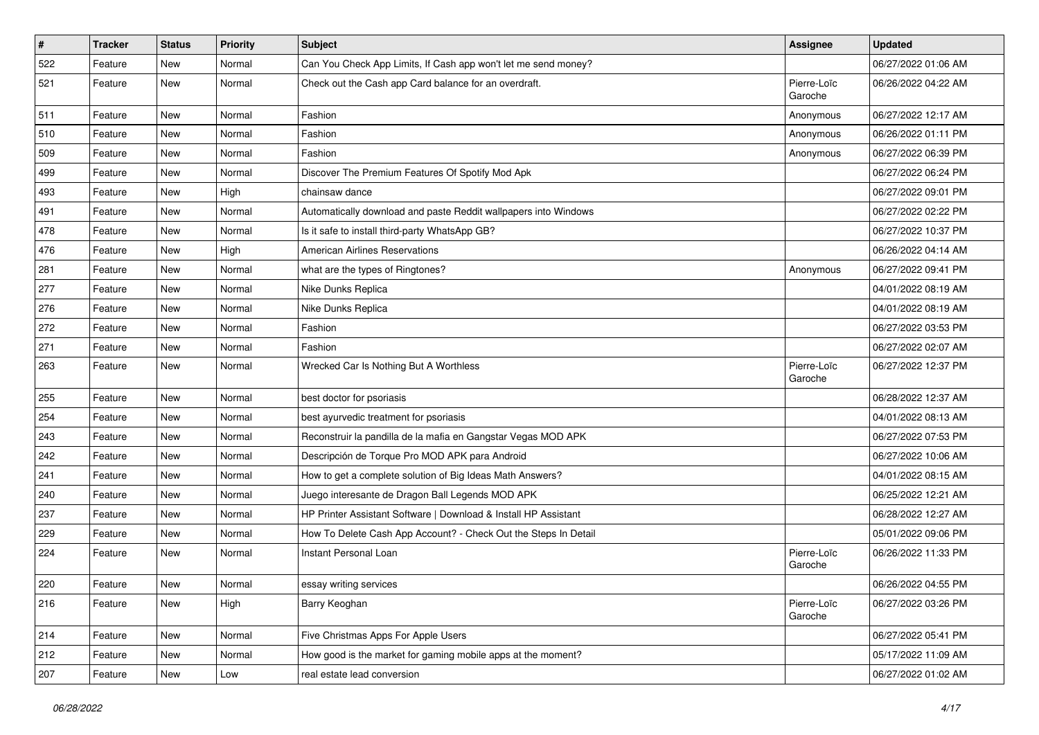| $\vert$ # | <b>Tracker</b> | <b>Status</b> | <b>Priority</b> | <b>Subject</b>                                                  | Assignee               | <b>Updated</b>      |
|-----------|----------------|---------------|-----------------|-----------------------------------------------------------------|------------------------|---------------------|
| 522       | Feature        | New           | Normal          | Can You Check App Limits, If Cash app won't let me send money?  |                        | 06/27/2022 01:06 AM |
| 521       | Feature        | New           | Normal          | Check out the Cash app Card balance for an overdraft.           | Pierre-Loïc<br>Garoche | 06/26/2022 04:22 AM |
| 511       | Feature        | New           | Normal          | Fashion                                                         | Anonymous              | 06/27/2022 12:17 AM |
| 510       | Feature        | <b>New</b>    | Normal          | Fashion                                                         | Anonymous              | 06/26/2022 01:11 PM |
| 509       | Feature        | New           | Normal          | Fashion                                                         | Anonymous              | 06/27/2022 06:39 PM |
| 499       | Feature        | New           | Normal          | Discover The Premium Features Of Spotify Mod Apk                |                        | 06/27/2022 06:24 PM |
| 493       | Feature        | New           | High            | chainsaw dance                                                  |                        | 06/27/2022 09:01 PM |
| 491       | Feature        | New           | Normal          | Automatically download and paste Reddit wallpapers into Windows |                        | 06/27/2022 02:22 PM |
| 478       | Feature        | <b>New</b>    | Normal          | Is it safe to install third-party WhatsApp GB?                  |                        | 06/27/2022 10:37 PM |
| 476       | Feature        | New           | High            | <b>American Airlines Reservations</b>                           |                        | 06/26/2022 04:14 AM |
| 281       | Feature        | New           | Normal          | what are the types of Ringtones?                                | Anonymous              | 06/27/2022 09:41 PM |
| 277       | Feature        | New           | Normal          | Nike Dunks Replica                                              |                        | 04/01/2022 08:19 AM |
| 276       | Feature        | <b>New</b>    | Normal          | Nike Dunks Replica                                              |                        | 04/01/2022 08:19 AM |
| 272       | Feature        | <b>New</b>    | Normal          | Fashion                                                         |                        | 06/27/2022 03:53 PM |
| 271       | Feature        | New           | Normal          | Fashion                                                         |                        | 06/27/2022 02:07 AM |
| 263       | Feature        | New           | Normal          | Wrecked Car Is Nothing But A Worthless                          | Pierre-Loïc<br>Garoche | 06/27/2022 12:37 PM |
| 255       | Feature        | New           | Normal          | best doctor for psoriasis                                       |                        | 06/28/2022 12:37 AM |
| 254       | Feature        | New           | Normal          | best ayurvedic treatment for psoriasis                          |                        | 04/01/2022 08:13 AM |
| 243       | Feature        | New           | Normal          | Reconstruir la pandilla de la mafia en Gangstar Vegas MOD APK   |                        | 06/27/2022 07:53 PM |
| 242       | Feature        | New           | Normal          | Descripción de Torque Pro MOD APK para Android                  |                        | 06/27/2022 10:06 AM |
| 241       | Feature        | New           | Normal          | How to get a complete solution of Big Ideas Math Answers?       |                        | 04/01/2022 08:15 AM |
| 240       | Feature        | New           | Normal          | Juego interesante de Dragon Ball Legends MOD APK                |                        | 06/25/2022 12:21 AM |
| 237       | Feature        | New           | Normal          | HP Printer Assistant Software   Download & Install HP Assistant |                        | 06/28/2022 12:27 AM |
| 229       | Feature        | New           | Normal          | How To Delete Cash App Account? - Check Out the Steps In Detail |                        | 05/01/2022 09:06 PM |
| 224       | Feature        | New           | Normal          | Instant Personal Loan                                           | Pierre-Loïc<br>Garoche | 06/26/2022 11:33 PM |
| 220       | Feature        | New           | Normal          | essay writing services                                          |                        | 06/26/2022 04:55 PM |
| 216       | Feature        | New           | High            | Barry Keoghan                                                   | Pierre-Loïc<br>Garoche | 06/27/2022 03:26 PM |
| 214       | Feature        | New           | Normal          | Five Christmas Apps For Apple Users                             |                        | 06/27/2022 05:41 PM |
| 212       | Feature        | New           | Normal          | How good is the market for gaming mobile apps at the moment?    |                        | 05/17/2022 11:09 AM |
| 207       | Feature        | New           | Low             | real estate lead conversion                                     |                        | 06/27/2022 01:02 AM |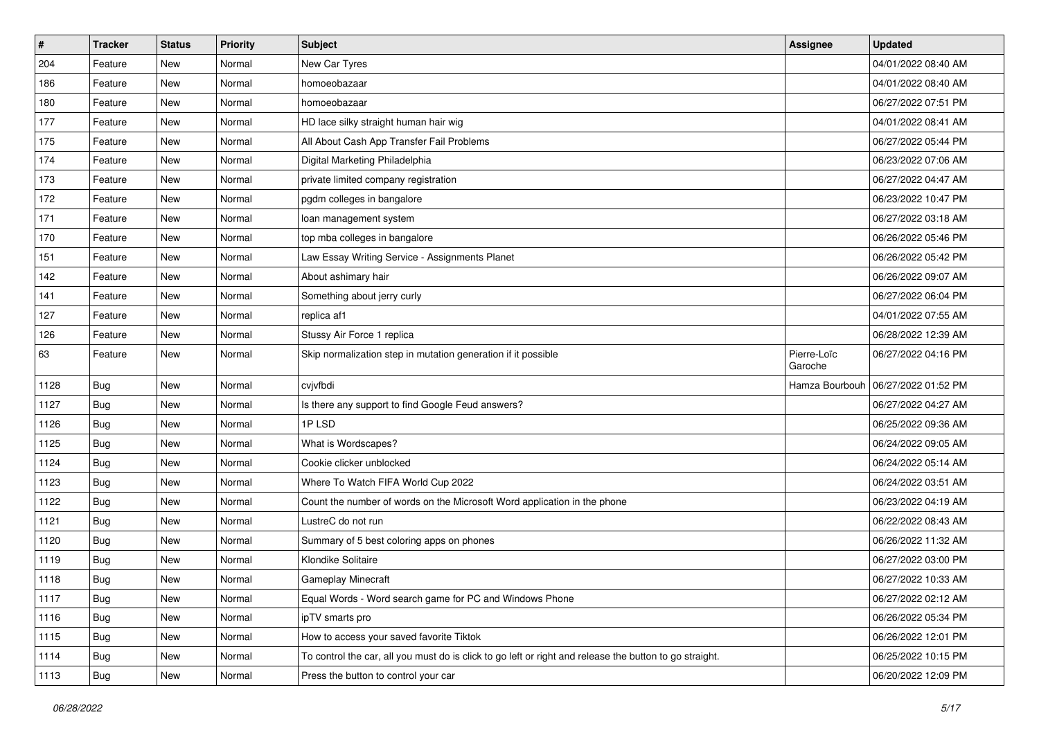| $\vert$ # | Tracker    | <b>Status</b> | <b>Priority</b> | Subject                                                                                                 | <b>Assignee</b>        | <b>Updated</b>      |
|-----------|------------|---------------|-----------------|---------------------------------------------------------------------------------------------------------|------------------------|---------------------|
| 204       | Feature    | New           | Normal          | New Car Tyres                                                                                           |                        | 04/01/2022 08:40 AM |
| 186       | Feature    | <b>New</b>    | Normal          | homoeobazaar                                                                                            |                        | 04/01/2022 08:40 AM |
| 180       | Feature    | New           | Normal          | homoeobazaar                                                                                            |                        | 06/27/2022 07:51 PM |
| 177       | Feature    | New           | Normal          | HD lace silky straight human hair wig                                                                   |                        | 04/01/2022 08:41 AM |
| 175       | Feature    | <b>New</b>    | Normal          | All About Cash App Transfer Fail Problems                                                               |                        | 06/27/2022 05:44 PM |
| 174       | Feature    | New           | Normal          | Digital Marketing Philadelphia                                                                          |                        | 06/23/2022 07:06 AM |
| 173       | Feature    | New           | Normal          | private limited company registration                                                                    |                        | 06/27/2022 04:47 AM |
| 172       | Feature    | New           | Normal          | pgdm colleges in bangalore                                                                              |                        | 06/23/2022 10:47 PM |
| 171       | Feature    | <b>New</b>    | Normal          | loan management system                                                                                  |                        | 06/27/2022 03:18 AM |
| 170       | Feature    | <b>New</b>    | Normal          | top mba colleges in bangalore                                                                           |                        | 06/26/2022 05:46 PM |
| 151       | Feature    | New           | Normal          | Law Essay Writing Service - Assignments Planet                                                          |                        | 06/26/2022 05:42 PM |
| 142       | Feature    | New           | Normal          | About ashimary hair                                                                                     |                        | 06/26/2022 09:07 AM |
| 141       | Feature    | New           | Normal          | Something about jerry curly                                                                             |                        | 06/27/2022 06:04 PM |
| 127       | Feature    | New           | Normal          | replica af1                                                                                             |                        | 04/01/2022 07:55 AM |
| 126       | Feature    | <b>New</b>    | Normal          | Stussy Air Force 1 replica                                                                              |                        | 06/28/2022 12:39 AM |
| 63        | Feature    | New           | Normal          | Skip normalization step in mutation generation if it possible                                           | Pierre-Loïc<br>Garoche | 06/27/2022 04:16 PM |
| 1128      | Bug        | <b>New</b>    | Normal          | cvjvfbdi                                                                                                | Hamza Bourbouh         | 06/27/2022 01:52 PM |
| 1127      | <b>Bug</b> | New           | Normal          | Is there any support to find Google Feud answers?                                                       |                        | 06/27/2022 04:27 AM |
| 1126      | <b>Bug</b> | New           | Normal          | 1PLSD                                                                                                   |                        | 06/25/2022 09:36 AM |
| 1125      | Bug        | New           | Normal          | What is Wordscapes?                                                                                     |                        | 06/24/2022 09:05 AM |
| 1124      | <b>Bug</b> | <b>New</b>    | Normal          | Cookie clicker unblocked                                                                                |                        | 06/24/2022 05:14 AM |
| 1123      | Bug        | <b>New</b>    | Normal          | Where To Watch FIFA World Cup 2022                                                                      |                        | 06/24/2022 03:51 AM |
| 1122      | <b>Bug</b> | New           | Normal          | Count the number of words on the Microsoft Word application in the phone                                |                        | 06/23/2022 04:19 AM |
| 1121      | <b>Bug</b> | New           | Normal          | LustreC do not run                                                                                      |                        | 06/22/2022 08:43 AM |
| 1120      | <b>Bug</b> | New           | Normal          | Summary of 5 best coloring apps on phones                                                               |                        | 06/26/2022 11:32 AM |
| 1119      | Bug        | New           | Normal          | Klondike Solitaire                                                                                      |                        | 06/27/2022 03:00 PM |
| 1118      | <b>Bug</b> | New           | Normal          | Gameplay Minecraft                                                                                      |                        | 06/27/2022 10:33 AM |
| 1117      | <b>Bug</b> | New           | Normal          | Equal Words - Word search game for PC and Windows Phone                                                 |                        | 06/27/2022 02:12 AM |
| 1116      | Bug        | New           | Normal          | ipTV smarts pro                                                                                         |                        | 06/26/2022 05:34 PM |
| 1115      | <b>Bug</b> | New           | Normal          | How to access your saved favorite Tiktok                                                                |                        | 06/26/2022 12:01 PM |
| 1114      | <b>Bug</b> | New           | Normal          | To control the car, all you must do is click to go left or right and release the button to go straight. |                        | 06/25/2022 10:15 PM |
| 1113      | <b>Bug</b> | New           | Normal          | Press the button to control your car                                                                    |                        | 06/20/2022 12:09 PM |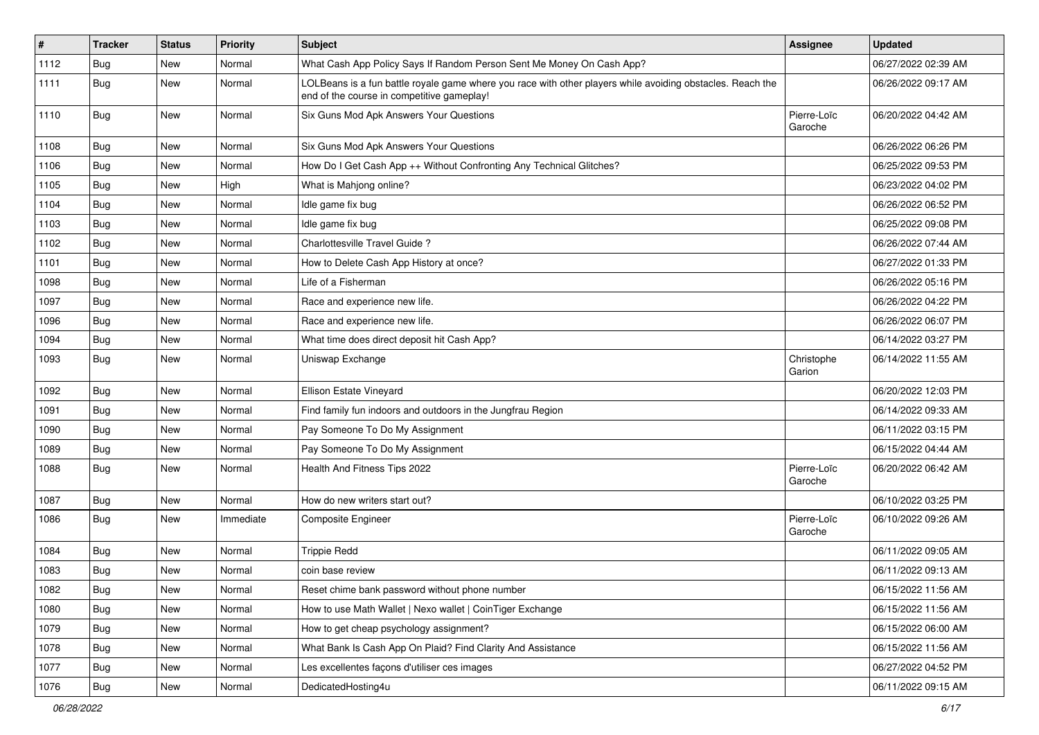| $\vert$ # | <b>Tracker</b> | <b>Status</b> | Priority  | <b>Subject</b>                                                                                                                                           | Assignee               | <b>Updated</b>      |
|-----------|----------------|---------------|-----------|----------------------------------------------------------------------------------------------------------------------------------------------------------|------------------------|---------------------|
| 1112      | <b>Bug</b>     | New           | Normal    | What Cash App Policy Says If Random Person Sent Me Money On Cash App?                                                                                    |                        | 06/27/2022 02:39 AM |
| 1111      | <b>Bug</b>     | New           | Normal    | LOLBeans is a fun battle royale game where you race with other players while avoiding obstacles. Reach the<br>end of the course in competitive gameplay! |                        | 06/26/2022 09:17 AM |
| 1110      | Bug            | <b>New</b>    | Normal    | Six Guns Mod Apk Answers Your Questions                                                                                                                  | Pierre-Loïc<br>Garoche | 06/20/2022 04:42 AM |
| 1108      | Bug            | <b>New</b>    | Normal    | Six Guns Mod Apk Answers Your Questions                                                                                                                  |                        | 06/26/2022 06:26 PM |
| 1106      | Bug            | <b>New</b>    | Normal    | How Do I Get Cash App ++ Without Confronting Any Technical Glitches?                                                                                     |                        | 06/25/2022 09:53 PM |
| 1105      | Bug            | <b>New</b>    | High      | What is Mahjong online?                                                                                                                                  |                        | 06/23/2022 04:02 PM |
| 1104      | <b>Bug</b>     | New           | Normal    | Idle game fix bug                                                                                                                                        |                        | 06/26/2022 06:52 PM |
| 1103      | <b>Bug</b>     | New           | Normal    | Idle game fix bug                                                                                                                                        |                        | 06/25/2022 09:08 PM |
| 1102      | Bug            | <b>New</b>    | Normal    | Charlottesville Travel Guide?                                                                                                                            |                        | 06/26/2022 07:44 AM |
| 1101      | Bug            | <b>New</b>    | Normal    | How to Delete Cash App History at once?                                                                                                                  |                        | 06/27/2022 01:33 PM |
| 1098      | Bug            | <b>New</b>    | Normal    | Life of a Fisherman                                                                                                                                      |                        | 06/26/2022 05:16 PM |
| 1097      | Bug            | New           | Normal    | Race and experience new life.                                                                                                                            |                        | 06/26/2022 04:22 PM |
| 1096      | <b>Bug</b>     | <b>New</b>    | Normal    | Race and experience new life.                                                                                                                            |                        | 06/26/2022 06:07 PM |
| 1094      | Bug            | <b>New</b>    | Normal    | What time does direct deposit hit Cash App?                                                                                                              |                        | 06/14/2022 03:27 PM |
| 1093      | <b>Bug</b>     | New           | Normal    | Uniswap Exchange                                                                                                                                         | Christophe<br>Garion   | 06/14/2022 11:55 AM |
| 1092      | Bug            | <b>New</b>    | Normal    | Ellison Estate Vineyard                                                                                                                                  |                        | 06/20/2022 12:03 PM |
| 1091      | Bug            | <b>New</b>    | Normal    | Find family fun indoors and outdoors in the Jungfrau Region                                                                                              |                        | 06/14/2022 09:33 AM |
| 1090      | Bug            | <b>New</b>    | Normal    | Pay Someone To Do My Assignment                                                                                                                          |                        | 06/11/2022 03:15 PM |
| 1089      | <b>Bug</b>     | New           | Normal    | Pay Someone To Do My Assignment                                                                                                                          |                        | 06/15/2022 04:44 AM |
| 1088      | Bug            | New           | Normal    | Health And Fitness Tips 2022                                                                                                                             | Pierre-Loïc<br>Garoche | 06/20/2022 06:42 AM |
| 1087      | Bug            | New           | Normal    | How do new writers start out?                                                                                                                            |                        | 06/10/2022 03:25 PM |
| 1086      | <b>Bug</b>     | New           | Immediate | <b>Composite Engineer</b>                                                                                                                                | Pierre-Loïc<br>Garoche | 06/10/2022 09:26 AM |
| 1084      | <b>Bug</b>     | <b>New</b>    | Normal    | <b>Trippie Redd</b>                                                                                                                                      |                        | 06/11/2022 09:05 AM |
| 1083      | <b>Bug</b>     | New           | Normal    | coin base review                                                                                                                                         |                        | 06/11/2022 09:13 AM |
| 1082      | <b>Bug</b>     | New           | Normal    | Reset chime bank password without phone number                                                                                                           |                        | 06/15/2022 11:56 AM |
| 1080      | Bug            | New           | Normal    | How to use Math Wallet   Nexo wallet   CoinTiger Exchange                                                                                                |                        | 06/15/2022 11:56 AM |
| 1079      | <b>Bug</b>     | New           | Normal    | How to get cheap psychology assignment?                                                                                                                  |                        | 06/15/2022 06:00 AM |
| 1078      | <b>Bug</b>     | New           | Normal    | What Bank Is Cash App On Plaid? Find Clarity And Assistance                                                                                              |                        | 06/15/2022 11:56 AM |
| 1077      | <b>Bug</b>     | New           | Normal    | Les excellentes façons d'utiliser ces images                                                                                                             |                        | 06/27/2022 04:52 PM |
| 1076      | <b>Bug</b>     | New           | Normal    | DedicatedHosting4u                                                                                                                                       |                        | 06/11/2022 09:15 AM |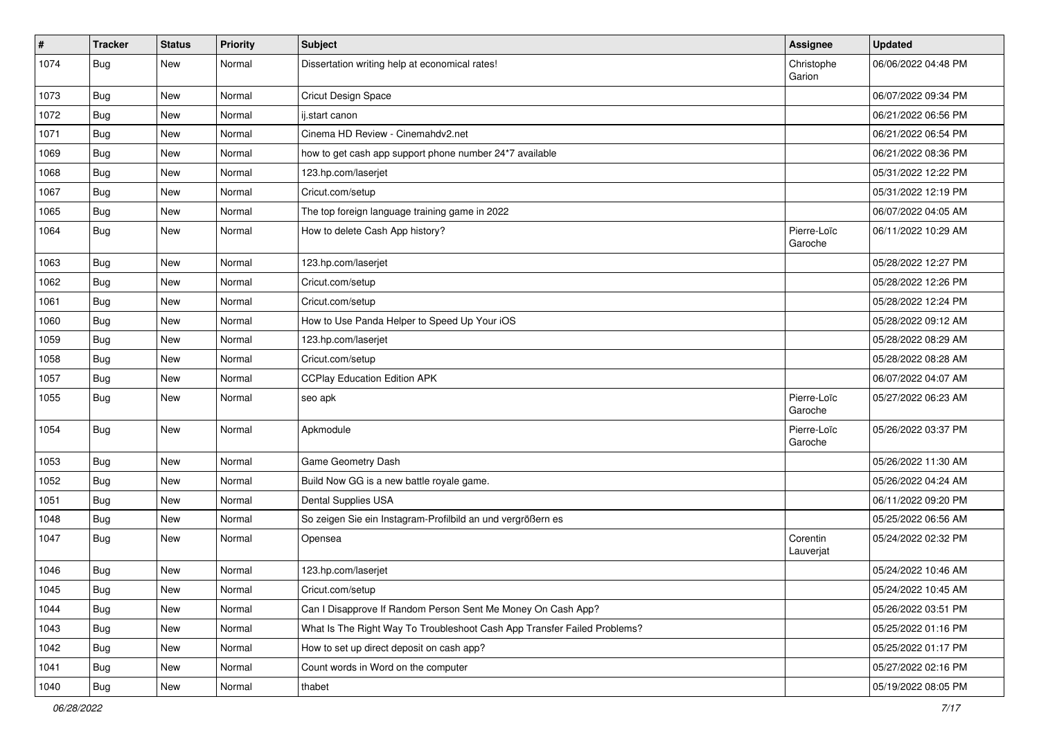| $\vert$ # | <b>Tracker</b> | <b>Status</b> | <b>Priority</b> | <b>Subject</b>                                                           | Assignee               | <b>Updated</b>      |
|-----------|----------------|---------------|-----------------|--------------------------------------------------------------------------|------------------------|---------------------|
| 1074      | <b>Bug</b>     | New           | Normal          | Dissertation writing help at economical rates!                           | Christophe<br>Garion   | 06/06/2022 04:48 PM |
| 1073      | <b>Bug</b>     | <b>New</b>    | Normal          | <b>Cricut Design Space</b>                                               |                        | 06/07/2022 09:34 PM |
| 1072      | <b>Bug</b>     | <b>New</b>    | Normal          | ij.start canon                                                           |                        | 06/21/2022 06:56 PM |
| 1071      | Bug            | <b>New</b>    | Normal          | Cinema HD Review - Cinemahdv2.net                                        |                        | 06/21/2022 06:54 PM |
| 1069      | <b>Bug</b>     | New           | Normal          | how to get cash app support phone number 24*7 available                  |                        | 06/21/2022 08:36 PM |
| 1068      | <b>Bug</b>     | <b>New</b>    | Normal          | 123.hp.com/laserjet                                                      |                        | 05/31/2022 12:22 PM |
| 1067      | <b>Bug</b>     | New           | Normal          | Cricut.com/setup                                                         |                        | 05/31/2022 12:19 PM |
| 1065      | <b>Bug</b>     | <b>New</b>    | Normal          | The top foreign language training game in 2022                           |                        | 06/07/2022 04:05 AM |
| 1064      | <b>Bug</b>     | New           | Normal          | How to delete Cash App history?                                          | Pierre-Loïc<br>Garoche | 06/11/2022 10:29 AM |
| 1063      | <b>Bug</b>     | <b>New</b>    | Normal          | 123.hp.com/laserjet                                                      |                        | 05/28/2022 12:27 PM |
| 1062      | <b>Bug</b>     | <b>New</b>    | Normal          | Cricut.com/setup                                                         |                        | 05/28/2022 12:26 PM |
| 1061      | <b>Bug</b>     | New           | Normal          | Cricut.com/setup                                                         |                        | 05/28/2022 12:24 PM |
| 1060      | <b>Bug</b>     | <b>New</b>    | Normal          | How to Use Panda Helper to Speed Up Your iOS                             |                        | 05/28/2022 09:12 AM |
| 1059      | <b>Bug</b>     | New           | Normal          | 123.hp.com/laserjet                                                      |                        | 05/28/2022 08:29 AM |
| 1058      | <b>Bug</b>     | New           | Normal          | Cricut.com/setup                                                         |                        | 05/28/2022 08:28 AM |
| 1057      | Bug            | <b>New</b>    | Normal          | <b>CCPlay Education Edition APK</b>                                      |                        | 06/07/2022 04:07 AM |
| 1055      | <b>Bug</b>     | New           | Normal          | seo apk                                                                  | Pierre-Loïc<br>Garoche | 05/27/2022 06:23 AM |
| 1054      | <b>Bug</b>     | <b>New</b>    | Normal          | Apkmodule                                                                | Pierre-Loïc<br>Garoche | 05/26/2022 03:37 PM |
| 1053      | <b>Bug</b>     | <b>New</b>    | Normal          | Game Geometry Dash                                                       |                        | 05/26/2022 11:30 AM |
| 1052      | <b>Bug</b>     | New           | Normal          | Build Now GG is a new battle royale game.                                |                        | 05/26/2022 04:24 AM |
| 1051      | <b>Bug</b>     | <b>New</b>    | Normal          | Dental Supplies USA                                                      |                        | 06/11/2022 09:20 PM |
| 1048      | Bug            | <b>New</b>    | Normal          | So zeigen Sie ein Instagram-Profilbild an und vergrößern es              |                        | 05/25/2022 06:56 AM |
| 1047      | <b>Bug</b>     | New           | Normal          | Opensea                                                                  | Corentin<br>Lauverjat  | 05/24/2022 02:32 PM |
| 1046      | <b>Bug</b>     | <b>New</b>    | Normal          | 123.hp.com/laserjet                                                      |                        | 05/24/2022 10:46 AM |
| 1045      | Bug            | New           | Normal          | Cricut.com/setup                                                         |                        | 05/24/2022 10:45 AM |
| 1044      | <b>Bug</b>     | <b>New</b>    | Normal          | Can I Disapprove If Random Person Sent Me Money On Cash App?             |                        | 05/26/2022 03:51 PM |
| 1043      | <b>Bug</b>     | New           | Normal          | What Is The Right Way To Troubleshoot Cash App Transfer Failed Problems? |                        | 05/25/2022 01:16 PM |
| 1042      | <b>Bug</b>     | New           | Normal          | How to set up direct deposit on cash app?                                |                        | 05/25/2022 01:17 PM |
| 1041      | <b>Bug</b>     | New           | Normal          | Count words in Word on the computer                                      |                        | 05/27/2022 02:16 PM |
| 1040      | Bug            | New           | Normal          | thabet                                                                   |                        | 05/19/2022 08:05 PM |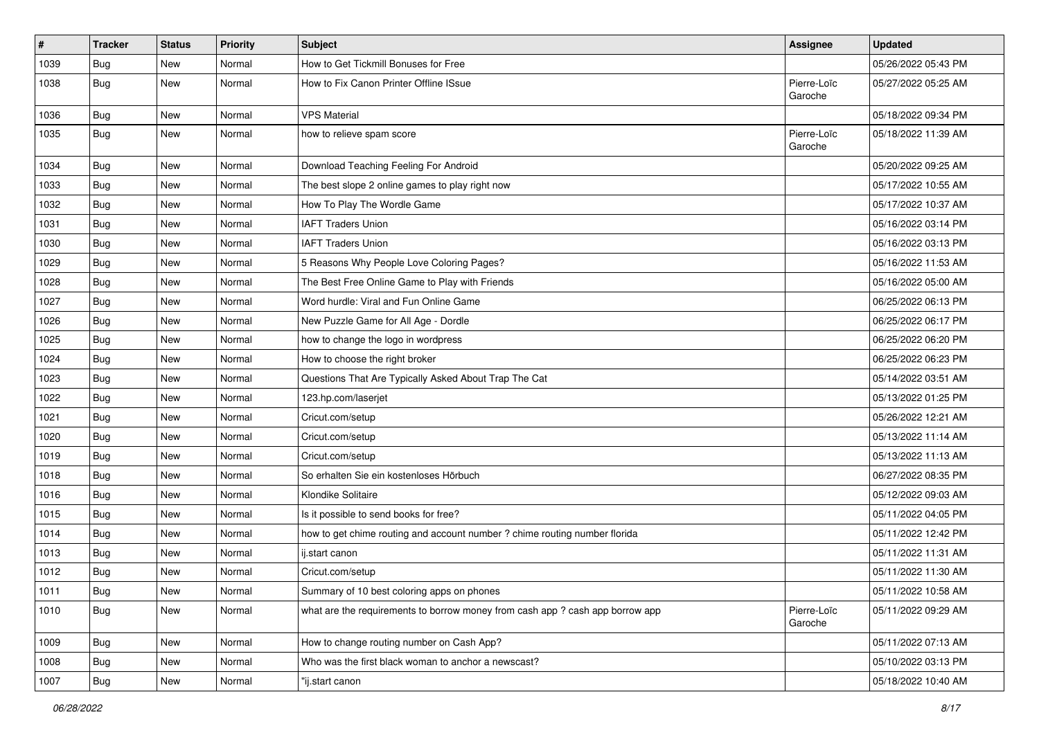| $\vert$ # | Tracker    | <b>Status</b> | <b>Priority</b> | Subject                                                                       | <b>Assignee</b>        | <b>Updated</b>      |
|-----------|------------|---------------|-----------------|-------------------------------------------------------------------------------|------------------------|---------------------|
| 1039      | <b>Bug</b> | New           | Normal          | How to Get Tickmill Bonuses for Free                                          |                        | 05/26/2022 05:43 PM |
| 1038      | <b>Bug</b> | New           | Normal          | How to Fix Canon Printer Offline ISsue                                        | Pierre-Loïc<br>Garoche | 05/27/2022 05:25 AM |
| 1036      | <b>Bug</b> | New           | Normal          | <b>VPS Material</b>                                                           |                        | 05/18/2022 09:34 PM |
| 1035      | <b>Bug</b> | <b>New</b>    | Normal          | how to relieve spam score                                                     | Pierre-Loïc<br>Garoche | 05/18/2022 11:39 AM |
| 1034      | <b>Bug</b> | New           | Normal          | Download Teaching Feeling For Android                                         |                        | 05/20/2022 09:25 AM |
| 1033      | <b>Bug</b> | New           | Normal          | The best slope 2 online games to play right now                               |                        | 05/17/2022 10:55 AM |
| 1032      | <b>Bug</b> | <b>New</b>    | Normal          | How To Play The Wordle Game                                                   |                        | 05/17/2022 10:37 AM |
| 1031      | Bug        | <b>New</b>    | Normal          | <b>IAFT Traders Union</b>                                                     |                        | 05/16/2022 03:14 PM |
| 1030      | <b>Bug</b> | New           | Normal          | <b>IAFT Traders Union</b>                                                     |                        | 05/16/2022 03:13 PM |
| 1029      | <b>Bug</b> | New           | Normal          | 5 Reasons Why People Love Coloring Pages?                                     |                        | 05/16/2022 11:53 AM |
| 1028      | <b>Bug</b> | <b>New</b>    | Normal          | The Best Free Online Game to Play with Friends                                |                        | 05/16/2022 05:00 AM |
| 1027      | <b>Bug</b> | <b>New</b>    | Normal          | Word hurdle: Viral and Fun Online Game                                        |                        | 06/25/2022 06:13 PM |
| 1026      | <b>Bug</b> | <b>New</b>    | Normal          | New Puzzle Game for All Age - Dordle                                          |                        | 06/25/2022 06:17 PM |
| 1025      | Bug        | New           | Normal          | how to change the logo in wordpress                                           |                        | 06/25/2022 06:20 PM |
| 1024      | <b>Bug</b> | New           | Normal          | How to choose the right broker                                                |                        | 06/25/2022 06:23 PM |
| 1023      | <b>Bug</b> | <b>New</b>    | Normal          | Questions That Are Typically Asked About Trap The Cat                         |                        | 05/14/2022 03:51 AM |
| 1022      | Bug        | New           | Normal          | 123.hp.com/laserjet                                                           |                        | 05/13/2022 01:25 PM |
| 1021      | <b>Bug</b> | New           | Normal          | Cricut.com/setup                                                              |                        | 05/26/2022 12:21 AM |
| 1020      | <b>Bug</b> | New           | Normal          | Cricut.com/setup                                                              |                        | 05/13/2022 11:14 AM |
| 1019      | <b>Bug</b> | <b>New</b>    | Normal          | Cricut.com/setup                                                              |                        | 05/13/2022 11:13 AM |
| 1018      | Bug        | <b>New</b>    | Normal          | So erhalten Sie ein kostenloses Hörbuch                                       |                        | 06/27/2022 08:35 PM |
| 1016      | <b>Bug</b> | New           | Normal          | Klondike Solitaire                                                            |                        | 05/12/2022 09:03 AM |
| 1015      | Bug        | New           | Normal          | Is it possible to send books for free?                                        |                        | 05/11/2022 04:05 PM |
| 1014      | <b>Bug</b> | New           | Normal          | how to get chime routing and account number ? chime routing number florida    |                        | 05/11/2022 12:42 PM |
| 1013      | <b>Bug</b> | New           | Normal          | ij.start canon                                                                |                        | 05/11/2022 11:31 AM |
| 1012      | <b>Bug</b> | New           | Normal          | Cricut.com/setup                                                              |                        | 05/11/2022 11:30 AM |
| 1011      | <b>Bug</b> | New           | Normal          | Summary of 10 best coloring apps on phones                                    |                        | 05/11/2022 10:58 AM |
| 1010      | Bug        | New           | Normal          | what are the requirements to borrow money from cash app ? cash app borrow app | Pierre-Loïc<br>Garoche | 05/11/2022 09:29 AM |
| 1009      | <b>Bug</b> | New           | Normal          | How to change routing number on Cash App?                                     |                        | 05/11/2022 07:13 AM |
| 1008      | <b>Bug</b> | New           | Normal          | Who was the first black woman to anchor a newscast?                           |                        | 05/10/2022 03:13 PM |
| 1007      | <b>Bug</b> | New           | Normal          | "ij.start canon                                                               |                        | 05/18/2022 10:40 AM |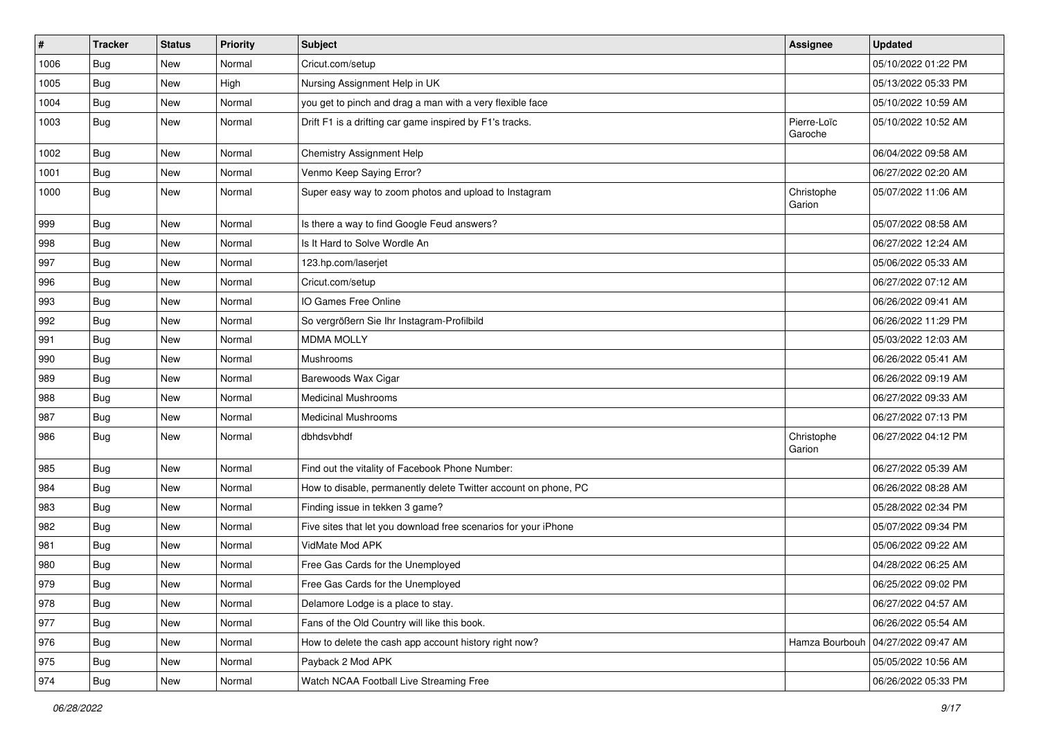| $\sharp$ | Tracker    | <b>Status</b> | <b>Priority</b> | Subject                                                         | Assignee               | <b>Updated</b>      |
|----------|------------|---------------|-----------------|-----------------------------------------------------------------|------------------------|---------------------|
| 1006     | Bug        | New           | Normal          | Cricut.com/setup                                                |                        | 05/10/2022 01:22 PM |
| 1005     | Bug        | New           | High            | Nursing Assignment Help in UK                                   |                        | 05/13/2022 05:33 PM |
| 1004     | <b>Bug</b> | New           | Normal          | you get to pinch and drag a man with a very flexible face       |                        | 05/10/2022 10:59 AM |
| 1003     | <b>Bug</b> | New           | Normal          | Drift F1 is a drifting car game inspired by F1's tracks.        | Pierre-Loïc<br>Garoche | 05/10/2022 10:52 AM |
| 1002     | <b>Bug</b> | New           | Normal          | Chemistry Assignment Help                                       |                        | 06/04/2022 09:58 AM |
| 1001     | Bug        | New           | Normal          | Venmo Keep Saying Error?                                        |                        | 06/27/2022 02:20 AM |
| 1000     | Bug        | New           | Normal          | Super easy way to zoom photos and upload to Instagram           | Christophe<br>Garion   | 05/07/2022 11:06 AM |
| 999      | Bug        | New           | Normal          | Is there a way to find Google Feud answers?                     |                        | 05/07/2022 08:58 AM |
| 998      | <b>Bug</b> | New           | Normal          | Is It Hard to Solve Wordle An                                   |                        | 06/27/2022 12:24 AM |
| 997      | Bug        | New           | Normal          | 123.hp.com/laserjet                                             |                        | 05/06/2022 05:33 AM |
| 996      | Bug        | <b>New</b>    | Normal          | Cricut.com/setup                                                |                        | 06/27/2022 07:12 AM |
| 993      | <b>Bug</b> | New           | Normal          | IO Games Free Online                                            |                        | 06/26/2022 09:41 AM |
| 992      | Bug        | New           | Normal          | So vergrößern Sie Ihr Instagram-Profilbild                      |                        | 06/26/2022 11:29 PM |
| 991      | <b>Bug</b> | New           | Normal          | <b>MDMA MOLLY</b>                                               |                        | 05/03/2022 12:03 AM |
| 990      | <b>Bug</b> | New           | Normal          | Mushrooms                                                       |                        | 06/26/2022 05:41 AM |
| 989      | Bug        | <b>New</b>    | Normal          | Barewoods Wax Cigar                                             |                        | 06/26/2022 09:19 AM |
| 988      | <b>Bug</b> | New           | Normal          | <b>Medicinal Mushrooms</b>                                      |                        | 06/27/2022 09:33 AM |
| 987      | Bug        | New           | Normal          | <b>Medicinal Mushrooms</b>                                      |                        | 06/27/2022 07:13 PM |
| 986      | <b>Bug</b> | New           | Normal          | dbhdsvbhdf                                                      | Christophe<br>Garion   | 06/27/2022 04:12 PM |
| 985      | <b>Bug</b> | <b>New</b>    | Normal          | Find out the vitality of Facebook Phone Number:                 |                        | 06/27/2022 05:39 AM |
| 984      | Bug        | New           | Normal          | How to disable, permanently delete Twitter account on phone, PC |                        | 06/26/2022 08:28 AM |
| 983      | <b>Bug</b> | New           | Normal          | Finding issue in tekken 3 game?                                 |                        | 05/28/2022 02:34 PM |
| 982      | Bug        | <b>New</b>    | Normal          | Five sites that let you download free scenarios for your iPhone |                        | 05/07/2022 09:34 PM |
| 981      | <b>Bug</b> | New           | Normal          | VidMate Mod APK                                                 |                        | 05/06/2022 09:22 AM |
| 980      | <b>Bug</b> | New           | Normal          | Free Gas Cards for the Unemployed                               |                        | 04/28/2022 06:25 AM |
| 979      | Bug        | New           | Normal          | Free Gas Cards for the Unemployed                               |                        | 06/25/2022 09:02 PM |
| 978      | Bug        | New           | Normal          | Delamore Lodge is a place to stay.                              |                        | 06/27/2022 04:57 AM |
| 977      | <b>Bug</b> | New           | Normal          | Fans of the Old Country will like this book.                    |                        | 06/26/2022 05:54 AM |
| 976      | <b>Bug</b> | New           | Normal          | How to delete the cash app account history right now?           | Hamza Bourbouh         | 04/27/2022 09:47 AM |
| 975      | <b>Bug</b> | New           | Normal          | Payback 2 Mod APK                                               |                        | 05/05/2022 10:56 AM |
| 974      | <b>Bug</b> | New           | Normal          | Watch NCAA Football Live Streaming Free                         |                        | 06/26/2022 05:33 PM |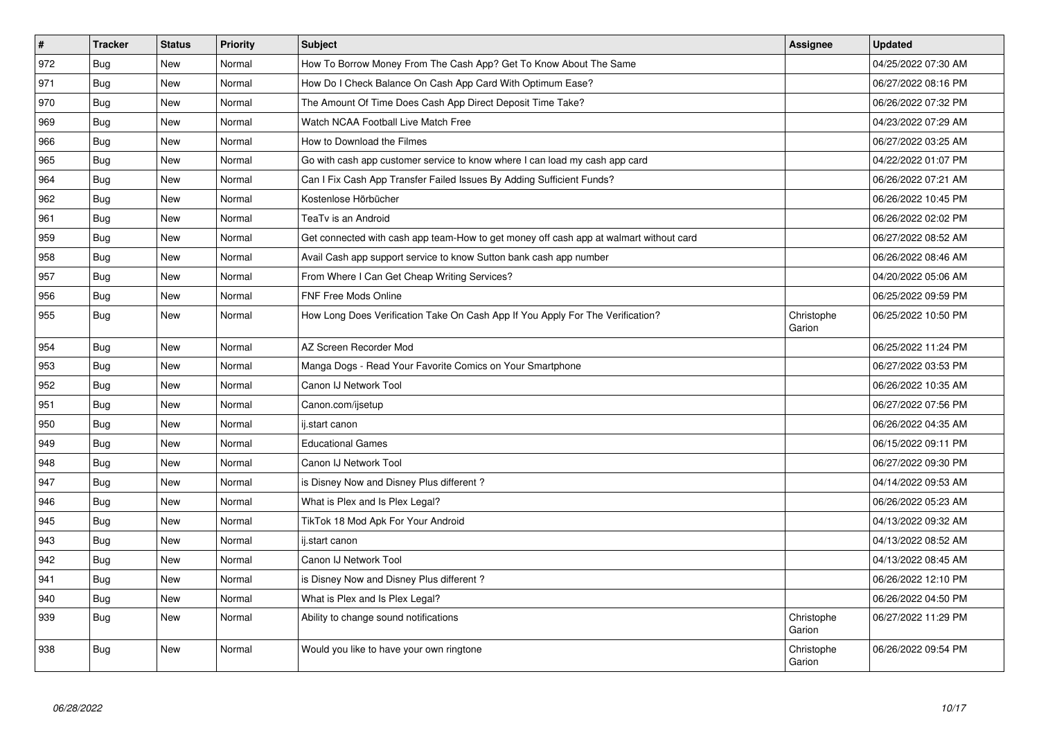| $\vert$ # | <b>Tracker</b> | <b>Status</b> | Priority | <b>Subject</b>                                                                         | <b>Assignee</b>      | <b>Updated</b>      |
|-----------|----------------|---------------|----------|----------------------------------------------------------------------------------------|----------------------|---------------------|
| 972       | Bug            | <b>New</b>    | Normal   | How To Borrow Money From The Cash App? Get To Know About The Same                      |                      | 04/25/2022 07:30 AM |
| 971       | <b>Bug</b>     | New           | Normal   | How Do I Check Balance On Cash App Card With Optimum Ease?                             |                      | 06/27/2022 08:16 PM |
| 970       | Bug            | New           | Normal   | The Amount Of Time Does Cash App Direct Deposit Time Take?                             |                      | 06/26/2022 07:32 PM |
| 969       | <b>Bug</b>     | New           | Normal   | Watch NCAA Football Live Match Free                                                    |                      | 04/23/2022 07:29 AM |
| 966       | Bug            | New           | Normal   | How to Download the Filmes                                                             |                      | 06/27/2022 03:25 AM |
| 965       | Bug            | New           | Normal   | Go with cash app customer service to know where I can load my cash app card            |                      | 04/22/2022 01:07 PM |
| 964       | Bug            | New           | Normal   | Can I Fix Cash App Transfer Failed Issues By Adding Sufficient Funds?                  |                      | 06/26/2022 07:21 AM |
| 962       | <b>Bug</b>     | New           | Normal   | Kostenlose Hörbücher                                                                   |                      | 06/26/2022 10:45 PM |
| 961       | Bug            | New           | Normal   | TeaTv is an Android                                                                    |                      | 06/26/2022 02:02 PM |
| 959       | Bug            | New           | Normal   | Get connected with cash app team-How to get money off cash app at walmart without card |                      | 06/27/2022 08:52 AM |
| 958       | Bug            | New           | Normal   | Avail Cash app support service to know Sutton bank cash app number                     |                      | 06/26/2022 08:46 AM |
| 957       | Bug            | New           | Normal   | From Where I Can Get Cheap Writing Services?                                           |                      | 04/20/2022 05:06 AM |
| 956       | Bug            | <b>New</b>    | Normal   | <b>FNF Free Mods Online</b>                                                            |                      | 06/25/2022 09:59 PM |
| 955       | Bug            | New           | Normal   | How Long Does Verification Take On Cash App If You Apply For The Verification?         | Christophe<br>Garion | 06/25/2022 10:50 PM |
| 954       | <b>Bug</b>     | <b>New</b>    | Normal   | AZ Screen Recorder Mod                                                                 |                      | 06/25/2022 11:24 PM |
| 953       | <b>Bug</b>     | <b>New</b>    | Normal   | Manga Dogs - Read Your Favorite Comics on Your Smartphone                              |                      | 06/27/2022 03:53 PM |
| 952       | Bug            | New           | Normal   | Canon IJ Network Tool                                                                  |                      | 06/26/2022 10:35 AM |
| 951       | <b>Bug</b>     | <b>New</b>    | Normal   | Canon.com/ijsetup                                                                      |                      | 06/27/2022 07:56 PM |
| 950       | <b>Bug</b>     | New           | Normal   | ij.start canon                                                                         |                      | 06/26/2022 04:35 AM |
| 949       | <b>Bug</b>     | <b>New</b>    | Normal   | <b>Educational Games</b>                                                               |                      | 06/15/2022 09:11 PM |
| 948       | Bug            | New           | Normal   | Canon IJ Network Tool                                                                  |                      | 06/27/2022 09:30 PM |
| 947       | <b>Bug</b>     | <b>New</b>    | Normal   | is Disney Now and Disney Plus different?                                               |                      | 04/14/2022 09:53 AM |
| 946       | Bug            | New           | Normal   | What is Plex and Is Plex Legal?                                                        |                      | 06/26/2022 05:23 AM |
| 945       | <b>Bug</b>     | New           | Normal   | TikTok 18 Mod Apk For Your Android                                                     |                      | 04/13/2022 09:32 AM |
| 943       | Bug            | New           | Normal   | ij.start canon                                                                         |                      | 04/13/2022 08:52 AM |
| 942       | <b>Bug</b>     | New           | Normal   | Canon IJ Network Tool                                                                  |                      | 04/13/2022 08:45 AM |
| 941       | Bug            | New           | Normal   | is Disney Now and Disney Plus different?                                               |                      | 06/26/2022 12:10 PM |
| 940       | <b>Bug</b>     | New           | Normal   | What is Plex and Is Plex Legal?                                                        |                      | 06/26/2022 04:50 PM |
| 939       | Bug            | <b>New</b>    | Normal   | Ability to change sound notifications                                                  | Christophe<br>Garion | 06/27/2022 11:29 PM |
| 938       | Bug            | New           | Normal   | Would you like to have your own ringtone                                               | Christophe<br>Garion | 06/26/2022 09:54 PM |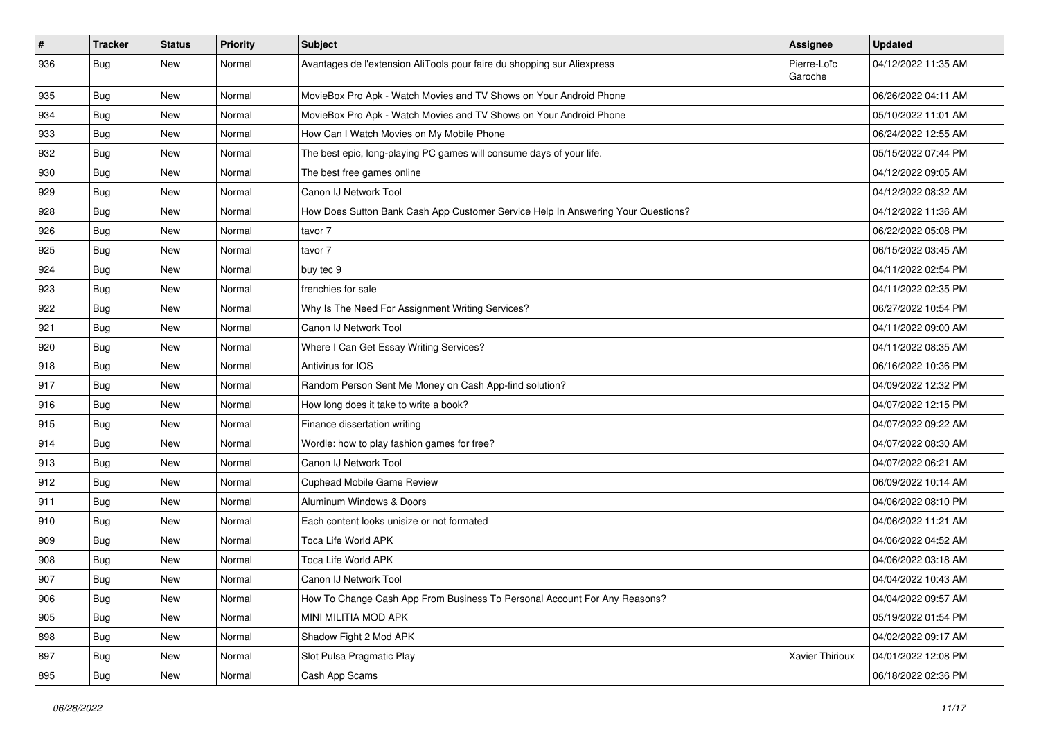| #   | <b>Tracker</b> | <b>Status</b> | <b>Priority</b> | <b>Subject</b>                                                                   | <b>Assignee</b>        | <b>Updated</b>      |
|-----|----------------|---------------|-----------------|----------------------------------------------------------------------------------|------------------------|---------------------|
| 936 | <b>Bug</b>     | New           | Normal          | Avantages de l'extension AliTools pour faire du shopping sur Aliexpress          | Pierre-Loïc<br>Garoche | 04/12/2022 11:35 AM |
| 935 | <b>Bug</b>     | New           | Normal          | MovieBox Pro Apk - Watch Movies and TV Shows on Your Android Phone               |                        | 06/26/2022 04:11 AM |
| 934 | <b>Bug</b>     | New           | Normal          | MovieBox Pro Apk - Watch Movies and TV Shows on Your Android Phone               |                        | 05/10/2022 11:01 AM |
| 933 | Bug            | New           | Normal          | How Can I Watch Movies on My Mobile Phone                                        |                        | 06/24/2022 12:55 AM |
| 932 | <b>Bug</b>     | New           | Normal          | The best epic, long-playing PC games will consume days of your life.             |                        | 05/15/2022 07:44 PM |
| 930 | <b>Bug</b>     | New           | Normal          | The best free games online                                                       |                        | 04/12/2022 09:05 AM |
| 929 | Bug            | New           | Normal          | Canon IJ Network Tool                                                            |                        | 04/12/2022 08:32 AM |
| 928 | <b>Bug</b>     | New           | Normal          | How Does Sutton Bank Cash App Customer Service Help In Answering Your Questions? |                        | 04/12/2022 11:36 AM |
| 926 | Bug            | New           | Normal          | tavor 7                                                                          |                        | 06/22/2022 05:08 PM |
| 925 | <b>Bug</b>     | New           | Normal          | tavor 7                                                                          |                        | 06/15/2022 03:45 AM |
| 924 | <b>Bug</b>     | New           | Normal          | buy tec 9                                                                        |                        | 04/11/2022 02:54 PM |
| 923 | <b>Bug</b>     | New           | Normal          | frenchies for sale                                                               |                        | 04/11/2022 02:35 PM |
| 922 | <b>Bug</b>     | New           | Normal          | Why Is The Need For Assignment Writing Services?                                 |                        | 06/27/2022 10:54 PM |
| 921 | <b>Bug</b>     | New           | Normal          | Canon IJ Network Tool                                                            |                        | 04/11/2022 09:00 AM |
| 920 | <b>Bug</b>     | New           | Normal          | Where I Can Get Essay Writing Services?                                          |                        | 04/11/2022 08:35 AM |
| 918 | <b>Bug</b>     | New           | Normal          | Antivirus for IOS                                                                |                        | 06/16/2022 10:36 PM |
| 917 | Bug            | New           | Normal          | Random Person Sent Me Money on Cash App-find solution?                           |                        | 04/09/2022 12:32 PM |
| 916 | <b>Bug</b>     | New           | Normal          | How long does it take to write a book?                                           |                        | 04/07/2022 12:15 PM |
| 915 | <b>Bug</b>     | New           | Normal          | Finance dissertation writing                                                     |                        | 04/07/2022 09:22 AM |
| 914 | Bug            | New           | Normal          | Wordle: how to play fashion games for free?                                      |                        | 04/07/2022 08:30 AM |
| 913 | <b>Bug</b>     | New           | Normal          | Canon IJ Network Tool                                                            |                        | 04/07/2022 06:21 AM |
| 912 | Bug            | New           | Normal          | Cuphead Mobile Game Review                                                       |                        | 06/09/2022 10:14 AM |
| 911 | <b>Bug</b>     | New           | Normal          | Aluminum Windows & Doors                                                         |                        | 04/06/2022 08:10 PM |
| 910 | <b>Bug</b>     | New           | Normal          | Each content looks unisize or not formated                                       |                        | 04/06/2022 11:21 AM |
| 909 | <b>Bug</b>     | New           | Normal          | Toca Life World APK                                                              |                        | 04/06/2022 04:52 AM |
| 908 | Bug            | New           | Normal          | Toca Life World APK                                                              |                        | 04/06/2022 03:18 AM |
| 907 | <b>Bug</b>     | New           | Normal          | Canon IJ Network Tool                                                            |                        | 04/04/2022 10:43 AM |
| 906 | <b>Bug</b>     | New           | Normal          | How To Change Cash App From Business To Personal Account For Any Reasons?        |                        | 04/04/2022 09:57 AM |
| 905 | Bug            | New           | Normal          | MINI MILITIA MOD APK                                                             |                        | 05/19/2022 01:54 PM |
| 898 | Bug            | New           | Normal          | Shadow Fight 2 Mod APK                                                           |                        | 04/02/2022 09:17 AM |
| 897 | <b>Bug</b>     | New           | Normal          | Slot Pulsa Pragmatic Play                                                        | Xavier Thirioux        | 04/01/2022 12:08 PM |
| 895 | <b>Bug</b>     | New           | Normal          | Cash App Scams                                                                   |                        | 06/18/2022 02:36 PM |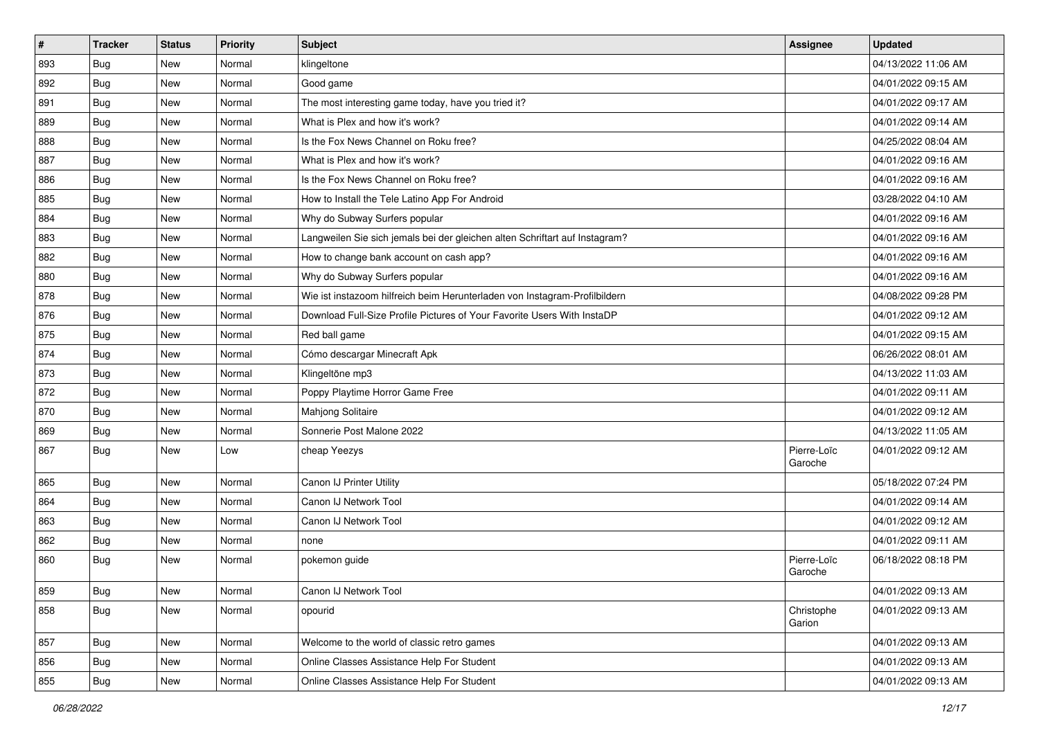| $\vert$ # | <b>Tracker</b> | <b>Status</b> | <b>Priority</b> | Subject                                                                     | Assignee               | <b>Updated</b>      |
|-----------|----------------|---------------|-----------------|-----------------------------------------------------------------------------|------------------------|---------------------|
| 893       | <b>Bug</b>     | New           | Normal          | klingeltone                                                                 |                        | 04/13/2022 11:06 AM |
| 892       | <b>Bug</b>     | <b>New</b>    | Normal          | Good game                                                                   |                        | 04/01/2022 09:15 AM |
| 891       | <b>Bug</b>     | New           | Normal          | The most interesting game today, have you tried it?                         |                        | 04/01/2022 09:17 AM |
| 889       | <b>Bug</b>     | New           | Normal          | What is Plex and how it's work?                                             |                        | 04/01/2022 09:14 AM |
| 888       | <b>Bug</b>     | <b>New</b>    | Normal          | Is the Fox News Channel on Roku free?                                       |                        | 04/25/2022 08:04 AM |
| 887       | <b>Bug</b>     | New           | Normal          | What is Plex and how it's work?                                             |                        | 04/01/2022 09:16 AM |
| 886       | <b>Bug</b>     | <b>New</b>    | Normal          | Is the Fox News Channel on Roku free?                                       |                        | 04/01/2022 09:16 AM |
| 885       | <b>Bug</b>     | New           | Normal          | How to Install the Tele Latino App For Android                              |                        | 03/28/2022 04:10 AM |
| 884       | <b>Bug</b>     | <b>New</b>    | Normal          | Why do Subway Surfers popular                                               |                        | 04/01/2022 09:16 AM |
| 883       | Bug            | <b>New</b>    | Normal          | Langweilen Sie sich jemals bei der gleichen alten Schriftart auf Instagram? |                        | 04/01/2022 09:16 AM |
| 882       | <b>Bug</b>     | New           | Normal          | How to change bank account on cash app?                                     |                        | 04/01/2022 09:16 AM |
| 880       | <b>Bug</b>     | <b>New</b>    | Normal          | Why do Subway Surfers popular                                               |                        | 04/01/2022 09:16 AM |
| 878       | <b>Bug</b>     | New           | Normal          | Wie ist instazoom hilfreich beim Herunterladen von Instagram-Profilbildern  |                        | 04/08/2022 09:28 PM |
| 876       | <b>Bug</b>     | <b>New</b>    | Normal          | Download Full-Size Profile Pictures of Your Favorite Users With InstaDP     |                        | 04/01/2022 09:12 AM |
| 875       | <b>Bug</b>     | <b>New</b>    | Normal          | Red ball game                                                               |                        | 04/01/2022 09:15 AM |
| 874       | <b>Bug</b>     | New           | Normal          | Cómo descargar Minecraft Apk                                                |                        | 06/26/2022 08:01 AM |
| 873       | <b>Bug</b>     | New           | Normal          | Klingeltöne mp3                                                             |                        | 04/13/2022 11:03 AM |
| 872       | <b>Bug</b>     | <b>New</b>    | Normal          | Poppy Playtime Horror Game Free                                             |                        | 04/01/2022 09:11 AM |
| 870       | Bug            | <b>New</b>    | Normal          | <b>Mahjong Solitaire</b>                                                    |                        | 04/01/2022 09:12 AM |
| 869       | <b>Bug</b>     | <b>New</b>    | Normal          | Sonnerie Post Malone 2022                                                   |                        | 04/13/2022 11:05 AM |
| 867       | <b>Bug</b>     | New           | Low             | cheap Yeezys                                                                | Pierre-Loïc<br>Garoche | 04/01/2022 09:12 AM |
| 865       | <b>Bug</b>     | New           | Normal          | Canon IJ Printer Utility                                                    |                        | 05/18/2022 07:24 PM |
| 864       | <b>Bug</b>     | New           | Normal          | Canon IJ Network Tool                                                       |                        | 04/01/2022 09:14 AM |
| 863       | Bug            | New           | Normal          | Canon IJ Network Tool                                                       |                        | 04/01/2022 09:12 AM |
| 862       | <b>Bug</b>     | <b>New</b>    | Normal          | none                                                                        |                        | 04/01/2022 09:11 AM |
| 860       | <b>Bug</b>     | New           | Normal          | pokemon guide                                                               | Pierre-Loïc<br>Garoche | 06/18/2022 08:18 PM |
| 859       | <b>Bug</b>     | New           | Normal          | Canon IJ Network Tool                                                       |                        | 04/01/2022 09:13 AM |
| 858       | <b>Bug</b>     | New           | Normal          | opourid                                                                     | Christophe<br>Garion   | 04/01/2022 09:13 AM |
| 857       | Bug            | New           | Normal          | Welcome to the world of classic retro games                                 |                        | 04/01/2022 09:13 AM |
| 856       | <b>Bug</b>     | New           | Normal          | Online Classes Assistance Help For Student                                  |                        | 04/01/2022 09:13 AM |
| 855       | Bug            | New           | Normal          | Online Classes Assistance Help For Student                                  |                        | 04/01/2022 09:13 AM |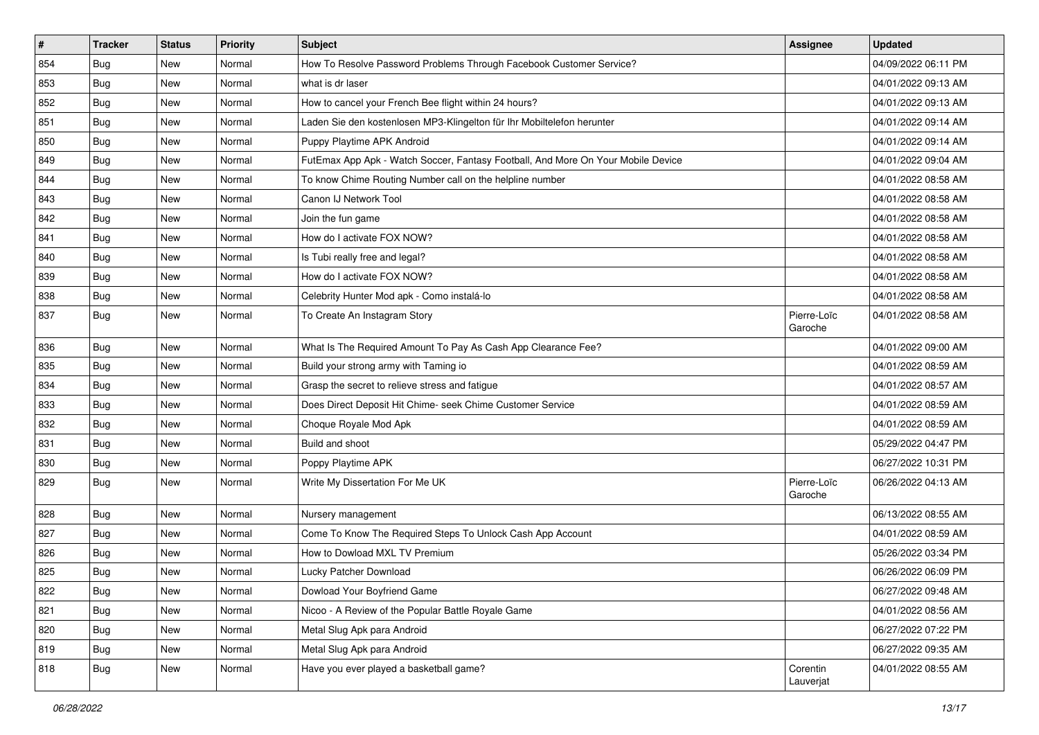| #   | <b>Tracker</b> | <b>Status</b> | <b>Priority</b> | Subject                                                                          | Assignee               | <b>Updated</b>      |
|-----|----------------|---------------|-----------------|----------------------------------------------------------------------------------|------------------------|---------------------|
| 854 | <b>Bug</b>     | New           | Normal          | How To Resolve Password Problems Through Facebook Customer Service?              |                        | 04/09/2022 06:11 PM |
| 853 | Bug            | <b>New</b>    | Normal          | what is dr laser                                                                 |                        | 04/01/2022 09:13 AM |
| 852 | Bug            | New           | Normal          | How to cancel your French Bee flight within 24 hours?                            |                        | 04/01/2022 09:13 AM |
| 851 | <b>Bug</b>     | New           | Normal          | Laden Sie den kostenlosen MP3-Klingelton für Ihr Mobiltelefon herunter           |                        | 04/01/2022 09:14 AM |
| 850 | <b>Bug</b>     | New           | Normal          | Puppy Playtime APK Android                                                       |                        | 04/01/2022 09:14 AM |
| 849 | <b>Bug</b>     | New           | Normal          | FutEmax App Apk - Watch Soccer, Fantasy Football, And More On Your Mobile Device |                        | 04/01/2022 09:04 AM |
| 844 | <b>Bug</b>     | New           | Normal          | To know Chime Routing Number call on the helpline number                         |                        | 04/01/2022 08:58 AM |
| 843 | Bug            | <b>New</b>    | Normal          | Canon IJ Network Tool                                                            |                        | 04/01/2022 08:58 AM |
| 842 | Bug            | New           | Normal          | Join the fun game                                                                |                        | 04/01/2022 08:58 AM |
| 841 | Bug            | <b>New</b>    | Normal          | How do I activate FOX NOW?                                                       |                        | 04/01/2022 08:58 AM |
| 840 | <b>Bug</b>     | New           | Normal          | Is Tubi really free and legal?                                                   |                        | 04/01/2022 08:58 AM |
| 839 | <b>Bug</b>     | New           | Normal          | How do I activate FOX NOW?                                                       |                        | 04/01/2022 08:58 AM |
| 838 | Bug            | <b>New</b>    | Normal          | Celebrity Hunter Mod apk - Como instalá-lo                                       |                        | 04/01/2022 08:58 AM |
| 837 | <b>Bug</b>     | New           | Normal          | To Create An Instagram Story                                                     | Pierre-Loïc<br>Garoche | 04/01/2022 08:58 AM |
| 836 | <b>Bug</b>     | <b>New</b>    | Normal          | What Is The Required Amount To Pay As Cash App Clearance Fee?                    |                        | 04/01/2022 09:00 AM |
| 835 | <b>Bug</b>     | New           | Normal          | Build your strong army with Taming io                                            |                        | 04/01/2022 08:59 AM |
| 834 | Bug            | <b>New</b>    | Normal          | Grasp the secret to relieve stress and fatigue                                   |                        | 04/01/2022 08:57 AM |
| 833 | <b>Bug</b>     | New           | Normal          | Does Direct Deposit Hit Chime- seek Chime Customer Service                       |                        | 04/01/2022 08:59 AM |
| 832 | <b>Bug</b>     | New           | Normal          | Choque Royale Mod Apk                                                            |                        | 04/01/2022 08:59 AM |
| 831 | <b>Bug</b>     | <b>New</b>    | Normal          | Build and shoot                                                                  |                        | 05/29/2022 04:47 PM |
| 830 | <b>Bug</b>     | New           | Normal          | Poppy Playtime APK                                                               |                        | 06/27/2022 10:31 PM |
| 829 | <b>Bug</b>     | New           | Normal          | Write My Dissertation For Me UK                                                  | Pierre-Loïc<br>Garoche | 06/26/2022 04:13 AM |
| 828 | <b>Bug</b>     | <b>New</b>    | Normal          | Nursery management                                                               |                        | 06/13/2022 08:55 AM |
| 827 | <b>Bug</b>     | New           | Normal          | Come To Know The Required Steps To Unlock Cash App Account                       |                        | 04/01/2022 08:59 AM |
| 826 | <b>Bug</b>     | New           | Normal          | How to Dowload MXL TV Premium                                                    |                        | 05/26/2022 03:34 PM |
| 825 | <b>Bug</b>     | New           | Normal          | Lucky Patcher Download                                                           |                        | 06/26/2022 06:09 PM |
| 822 | Bug            | New           | Normal          | Dowload Your Boyfriend Game                                                      |                        | 06/27/2022 09:48 AM |
| 821 | Bug            | <b>New</b>    | Normal          | Nicoo - A Review of the Popular Battle Royale Game                               |                        | 04/01/2022 08:56 AM |
| 820 | Bug            | <b>New</b>    | Normal          | Metal Slug Apk para Android                                                      |                        | 06/27/2022 07:22 PM |
| 819 | <b>Bug</b>     | New           | Normal          | Metal Slug Apk para Android                                                      |                        | 06/27/2022 09:35 AM |
| 818 | <b>Bug</b>     | New           | Normal          | Have you ever played a basketball game?                                          | Corentin<br>Lauverjat  | 04/01/2022 08:55 AM |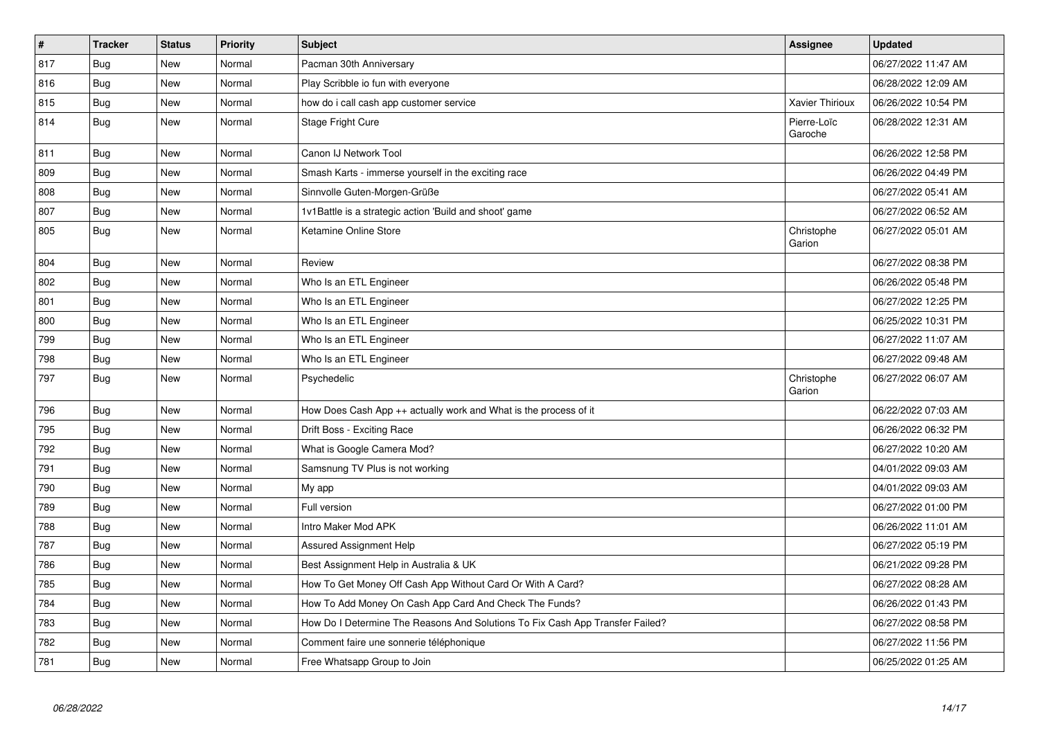| $\vert$ # | <b>Tracker</b> | <b>Status</b> | <b>Priority</b> | <b>Subject</b>                                                                | Assignee               | <b>Updated</b>      |
|-----------|----------------|---------------|-----------------|-------------------------------------------------------------------------------|------------------------|---------------------|
| 817       | Bug            | New           | Normal          | Pacman 30th Anniversary                                                       |                        | 06/27/2022 11:47 AM |
| 816       | Bug            | <b>New</b>    | Normal          | Play Scribble io fun with everyone                                            |                        | 06/28/2022 12:09 AM |
| 815       | Bug            | New           | Normal          | how do i call cash app customer service                                       | Xavier Thirioux        | 06/26/2022 10:54 PM |
| 814       | Bug            | <b>New</b>    | Normal          | Stage Fright Cure                                                             | Pierre-Loïc<br>Garoche | 06/28/2022 12:31 AM |
| 811       | Bug            | <b>New</b>    | Normal          | Canon IJ Network Tool                                                         |                        | 06/26/2022 12:58 PM |
| 809       | Bug            | New           | Normal          | Smash Karts - immerse yourself in the exciting race                           |                        | 06/26/2022 04:49 PM |
| 808       | <b>Bug</b>     | <b>New</b>    | Normal          | Sinnvolle Guten-Morgen-Grüße                                                  |                        | 06/27/2022 05:41 AM |
| 807       | Bug            | <b>New</b>    | Normal          | 1v1Battle is a strategic action 'Build and shoot' game                        |                        | 06/27/2022 06:52 AM |
| 805       | Bug            | <b>New</b>    | Normal          | Ketamine Online Store                                                         | Christophe<br>Garion   | 06/27/2022 05:01 AM |
| 804       | <b>Bug</b>     | New           | Normal          | Review                                                                        |                        | 06/27/2022 08:38 PM |
| 802       | Bug            | <b>New</b>    | Normal          | Who Is an ETL Engineer                                                        |                        | 06/26/2022 05:48 PM |
| 801       | Bug            | New           | Normal          | Who Is an ETL Engineer                                                        |                        | 06/27/2022 12:25 PM |
| 800       | <b>Bug</b>     | <b>New</b>    | Normal          | Who Is an ETL Engineer                                                        |                        | 06/25/2022 10:31 PM |
| 799       | Bug            | <b>New</b>    | Normal          | Who Is an ETL Engineer                                                        |                        | 06/27/2022 11:07 AM |
| 798       | <b>Bug</b>     | <b>New</b>    | Normal          | Who Is an ETL Engineer                                                        |                        | 06/27/2022 09:48 AM |
| 797       | <b>Bug</b>     | <b>New</b>    | Normal          | Psychedelic                                                                   | Christophe<br>Garion   | 06/27/2022 06:07 AM |
| 796       | Bug            | <b>New</b>    | Normal          | How Does Cash App ++ actually work and What is the process of it              |                        | 06/22/2022 07:03 AM |
| 795       | <b>Bug</b>     | New           | Normal          | Drift Boss - Exciting Race                                                    |                        | 06/26/2022 06:32 PM |
| 792       | Bug            | <b>New</b>    | Normal          | What is Google Camera Mod?                                                    |                        | 06/27/2022 10:20 AM |
| 791       | Bug            | New           | Normal          | Samsnung TV Plus is not working                                               |                        | 04/01/2022 09:03 AM |
| 790       | Bug            | New           | Normal          | My app                                                                        |                        | 04/01/2022 09:03 AM |
| 789       | Bug            | New           | Normal          | Full version                                                                  |                        | 06/27/2022 01:00 PM |
| 788       | <b>Bug</b>     | New           | Normal          | Intro Maker Mod APK                                                           |                        | 06/26/2022 11:01 AM |
| 787       | Bug            | New           | Normal          | <b>Assured Assignment Help</b>                                                |                        | 06/27/2022 05:19 PM |
| 786       | <b>Bug</b>     | New           | Normal          | Best Assignment Help in Australia & UK                                        |                        | 06/21/2022 09:28 PM |
| 785       | Bug            | New           | Normal          | How To Get Money Off Cash App Without Card Or With A Card?                    |                        | 06/27/2022 08:28 AM |
| 784       | <b>Bug</b>     | <b>New</b>    | Normal          | How To Add Money On Cash App Card And Check The Funds?                        |                        | 06/26/2022 01:43 PM |
| 783       | Bug            | <b>New</b>    | Normal          | How Do I Determine The Reasons And Solutions To Fix Cash App Transfer Failed? |                        | 06/27/2022 08:58 PM |
| 782       | Bug            | New           | Normal          | Comment faire une sonnerie téléphonique                                       |                        | 06/27/2022 11:56 PM |
| 781       | <b>Bug</b>     | New           | Normal          | Free Whatsapp Group to Join                                                   |                        | 06/25/2022 01:25 AM |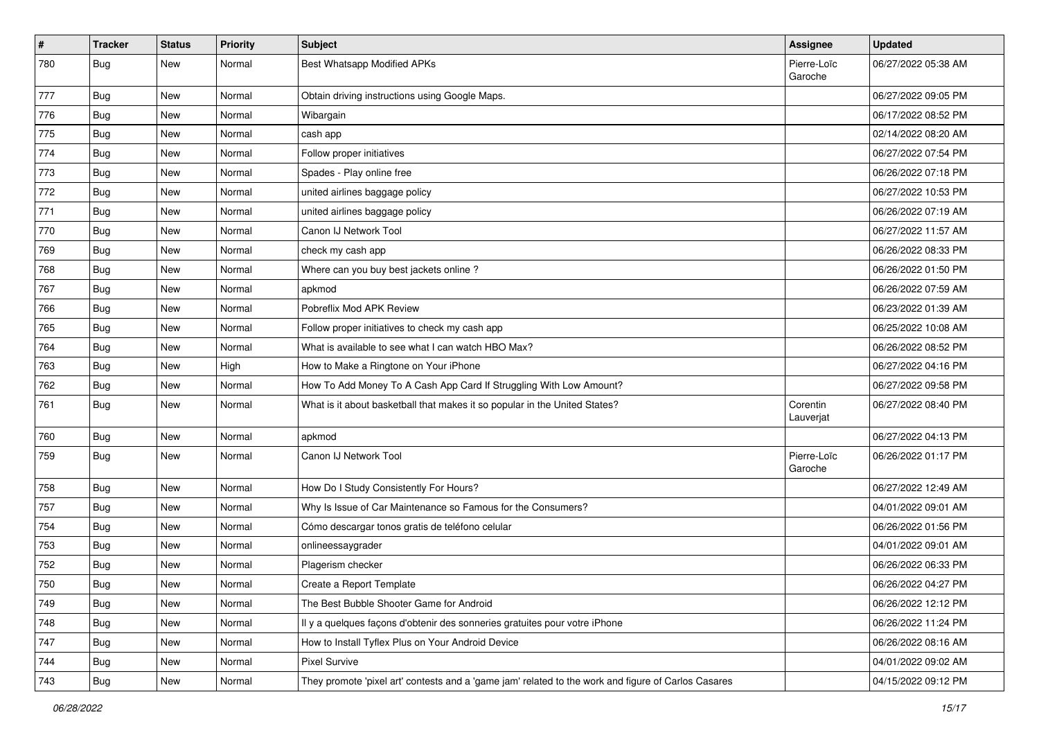| $\pmb{\#}$ | <b>Tracker</b> | <b>Status</b> | <b>Priority</b> | <b>Subject</b>                                                                                      | Assignee               | <b>Updated</b>      |
|------------|----------------|---------------|-----------------|-----------------------------------------------------------------------------------------------------|------------------------|---------------------|
| 780        | <b>Bug</b>     | New           | Normal          | Best Whatsapp Modified APKs                                                                         | Pierre-Loïc<br>Garoche | 06/27/2022 05:38 AM |
| 777        | <b>Bug</b>     | New           | Normal          | Obtain driving instructions using Google Maps.                                                      |                        | 06/27/2022 09:05 PM |
| 776        | Bug            | New           | Normal          | Wibargain                                                                                           |                        | 06/17/2022 08:52 PM |
| 775        | Bug            | <b>New</b>    | Normal          | cash app                                                                                            |                        | 02/14/2022 08:20 AM |
| 774        | Bug            | New           | Normal          | Follow proper initiatives                                                                           |                        | 06/27/2022 07:54 PM |
| 773        | <b>Bug</b>     | New           | Normal          | Spades - Play online free                                                                           |                        | 06/26/2022 07:18 PM |
| 772        | Bug            | New           | Normal          | united airlines baggage policy                                                                      |                        | 06/27/2022 10:53 PM |
| 771        | <b>Bug</b>     | New           | Normal          | united airlines baggage policy                                                                      |                        | 06/26/2022 07:19 AM |
| 770        | <b>Bug</b>     | <b>New</b>    | Normal          | Canon IJ Network Tool                                                                               |                        | 06/27/2022 11:57 AM |
| 769        | Bug            | New           | Normal          | check my cash app                                                                                   |                        | 06/26/2022 08:33 PM |
| 768        | <b>Bug</b>     | New           | Normal          | Where can you buy best jackets online?                                                              |                        | 06/26/2022 01:50 PM |
| 767        | Bug            | New           | Normal          | apkmod                                                                                              |                        | 06/26/2022 07:59 AM |
| 766        | Bug            | New           | Normal          | Pobreflix Mod APK Review                                                                            |                        | 06/23/2022 01:39 AM |
| 765        | Bug            | New           | Normal          | Follow proper initiatives to check my cash app                                                      |                        | 06/25/2022 10:08 AM |
| 764        | Bug            | New           | Normal          | What is available to see what I can watch HBO Max?                                                  |                        | 06/26/2022 08:52 PM |
| 763        | <b>Bug</b>     | New           | High            | How to Make a Ringtone on Your iPhone                                                               |                        | 06/27/2022 04:16 PM |
| 762        | Bug            | New           | Normal          | How To Add Money To A Cash App Card If Struggling With Low Amount?                                  |                        | 06/27/2022 09:58 PM |
| 761        | Bug            | New           | Normal          | What is it about basketball that makes it so popular in the United States?                          | Corentin<br>Lauverjat  | 06/27/2022 08:40 PM |
| 760        | Bug            | New           | Normal          | apkmod                                                                                              |                        | 06/27/2022 04:13 PM |
| 759        | <b>Bug</b>     | New           | Normal          | Canon IJ Network Tool                                                                               | Pierre-Loïc<br>Garoche | 06/26/2022 01:17 PM |
| 758        | Bug            | New           | Normal          | How Do I Study Consistently For Hours?                                                              |                        | 06/27/2022 12:49 AM |
| 757        | <b>Bug</b>     | New           | Normal          | Why Is Issue of Car Maintenance so Famous for the Consumers?                                        |                        | 04/01/2022 09:01 AM |
| 754        | <b>Bug</b>     | New           | Normal          | Cómo descargar tonos gratis de teléfono celular                                                     |                        | 06/26/2022 01:56 PM |
| 753        | Bug            | New           | Normal          | onlineessaygrader                                                                                   |                        | 04/01/2022 09:01 AM |
| 752        | <b>Bug</b>     | New           | Normal          | Plagerism checker                                                                                   |                        | 06/26/2022 06:33 PM |
| 750        | Bug            | New           | Normal          | Create a Report Template                                                                            |                        | 06/26/2022 04:27 PM |
| 749        | <b>Bug</b>     | New           | Normal          | The Best Bubble Shooter Game for Android                                                            |                        | 06/26/2022 12:12 PM |
| 748        | <b>Bug</b>     | New           | Normal          | Il y a quelques façons d'obtenir des sonneries gratuites pour votre iPhone                          |                        | 06/26/2022 11:24 PM |
| 747        | <b>Bug</b>     | New           | Normal          | How to Install Tyflex Plus on Your Android Device                                                   |                        | 06/26/2022 08:16 AM |
| 744        | Bug            | New           | Normal          | <b>Pixel Survive</b>                                                                                |                        | 04/01/2022 09:02 AM |
| 743        | Bug            | New           | Normal          | They promote 'pixel art' contests and a 'game jam' related to the work and figure of Carlos Casares |                        | 04/15/2022 09:12 PM |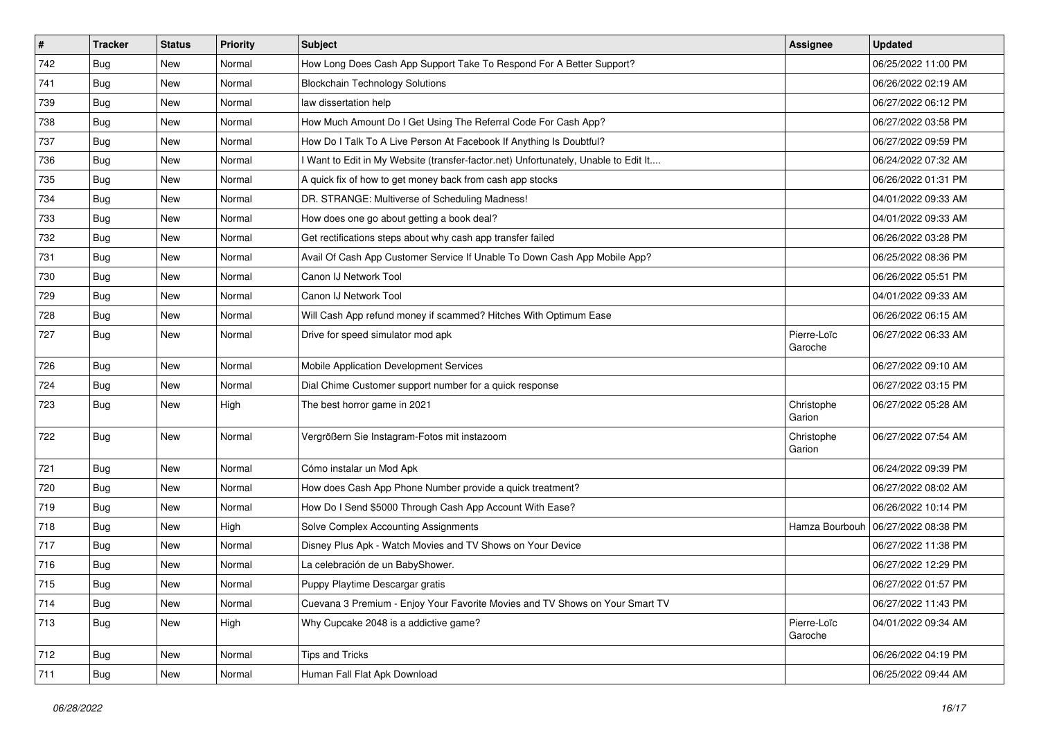| $\vert$ # | <b>Tracker</b> | <b>Status</b> | <b>Priority</b> | Subject                                                                             | <b>Assignee</b>        | <b>Updated</b>      |
|-----------|----------------|---------------|-----------------|-------------------------------------------------------------------------------------|------------------------|---------------------|
| 742       | <b>Bug</b>     | New           | Normal          | How Long Does Cash App Support Take To Respond For A Better Support?                |                        | 06/25/2022 11:00 PM |
| 741       | Bug            | New           | Normal          | <b>Blockchain Technology Solutions</b>                                              |                        | 06/26/2022 02:19 AM |
| 739       | Bug            | New           | Normal          | law dissertation help                                                               |                        | 06/27/2022 06:12 PM |
| 738       | Bug            | New           | Normal          | How Much Amount Do I Get Using The Referral Code For Cash App?                      |                        | 06/27/2022 03:58 PM |
| 737       | Bug            | New           | Normal          | How Do I Talk To A Live Person At Facebook If Anything Is Doubtful?                 |                        | 06/27/2022 09:59 PM |
| 736       | <b>Bug</b>     | New           | Normal          | I Want to Edit in My Website (transfer-factor.net) Unfortunately, Unable to Edit It |                        | 06/24/2022 07:32 AM |
| 735       | Bug            | New           | Normal          | A quick fix of how to get money back from cash app stocks                           |                        | 06/26/2022 01:31 PM |
| 734       | <b>Bug</b>     | <b>New</b>    | Normal          | DR. STRANGE: Multiverse of Scheduling Madness!                                      |                        | 04/01/2022 09:33 AM |
| 733       | Bug            | New           | Normal          | How does one go about getting a book deal?                                          |                        | 04/01/2022 09:33 AM |
| 732       | Bug            | <b>New</b>    | Normal          | Get rectifications steps about why cash app transfer failed                         |                        | 06/26/2022 03:28 PM |
| 731       | <b>Bug</b>     | New           | Normal          | Avail Of Cash App Customer Service If Unable To Down Cash App Mobile App?           |                        | 06/25/2022 08:36 PM |
| 730       | Bug            | New           | Normal          | Canon IJ Network Tool                                                               |                        | 06/26/2022 05:51 PM |
| 729       | Bug            | <b>New</b>    | Normal          | Canon IJ Network Tool                                                               |                        | 04/01/2022 09:33 AM |
| 728       | Bug            | New           | Normal          | Will Cash App refund money if scammed? Hitches With Optimum Ease                    |                        | 06/26/2022 06:15 AM |
| 727       | <b>Bug</b>     | New           | Normal          | Drive for speed simulator mod apk                                                   | Pierre-Loïc<br>Garoche | 06/27/2022 06:33 AM |
| 726       | Bug            | <b>New</b>    | Normal          | Mobile Application Development Services                                             |                        | 06/27/2022 09:10 AM |
| 724       | Bug            | New           | Normal          | Dial Chime Customer support number for a quick response                             |                        | 06/27/2022 03:15 PM |
| 723       | <b>Bug</b>     | New           | High            | The best horror game in 2021                                                        | Christophe<br>Garion   | 06/27/2022 05:28 AM |
| 722       | Bug            | New           | Normal          | Vergrößern Sie Instagram-Fotos mit instazoom                                        | Christophe<br>Garion   | 06/27/2022 07:54 AM |
| 721       | Bug            | New           | Normal          | Cómo instalar un Mod Apk                                                            |                        | 06/24/2022 09:39 PM |
| 720       | Bug            | New           | Normal          | How does Cash App Phone Number provide a quick treatment?                           |                        | 06/27/2022 08:02 AM |
| 719       | <b>Bug</b>     | New           | Normal          | How Do I Send \$5000 Through Cash App Account With Ease?                            |                        | 06/26/2022 10:14 PM |
| 718       | <b>Bug</b>     | New           | High            | Solve Complex Accounting Assignments                                                | Hamza Bourbouh         | 06/27/2022 08:38 PM |
| 717       | Bug            | New           | Normal          | Disney Plus Apk - Watch Movies and TV Shows on Your Device                          |                        | 06/27/2022 11:38 PM |
| 716       | Bug            | New           | Normal          | La celebración de un BabyShower.                                                    |                        | 06/27/2022 12:29 PM |
| 715       | <b>Bug</b>     | New           | Normal          | Puppy Playtime Descargar gratis                                                     |                        | 06/27/2022 01:57 PM |
| 714       | <b>Bug</b>     | New           | Normal          | Cuevana 3 Premium - Enjoy Your Favorite Movies and TV Shows on Your Smart TV        |                        | 06/27/2022 11:43 PM |
| 713       | Bug            | New           | High            | Why Cupcake 2048 is a addictive game?                                               | Pierre-Loïc<br>Garoche | 04/01/2022 09:34 AM |
| 712       | <b>Bug</b>     | New           | Normal          | <b>Tips and Tricks</b>                                                              |                        | 06/26/2022 04:19 PM |
| 711       | <b>Bug</b>     | New           | Normal          | Human Fall Flat Apk Download                                                        |                        | 06/25/2022 09:44 AM |